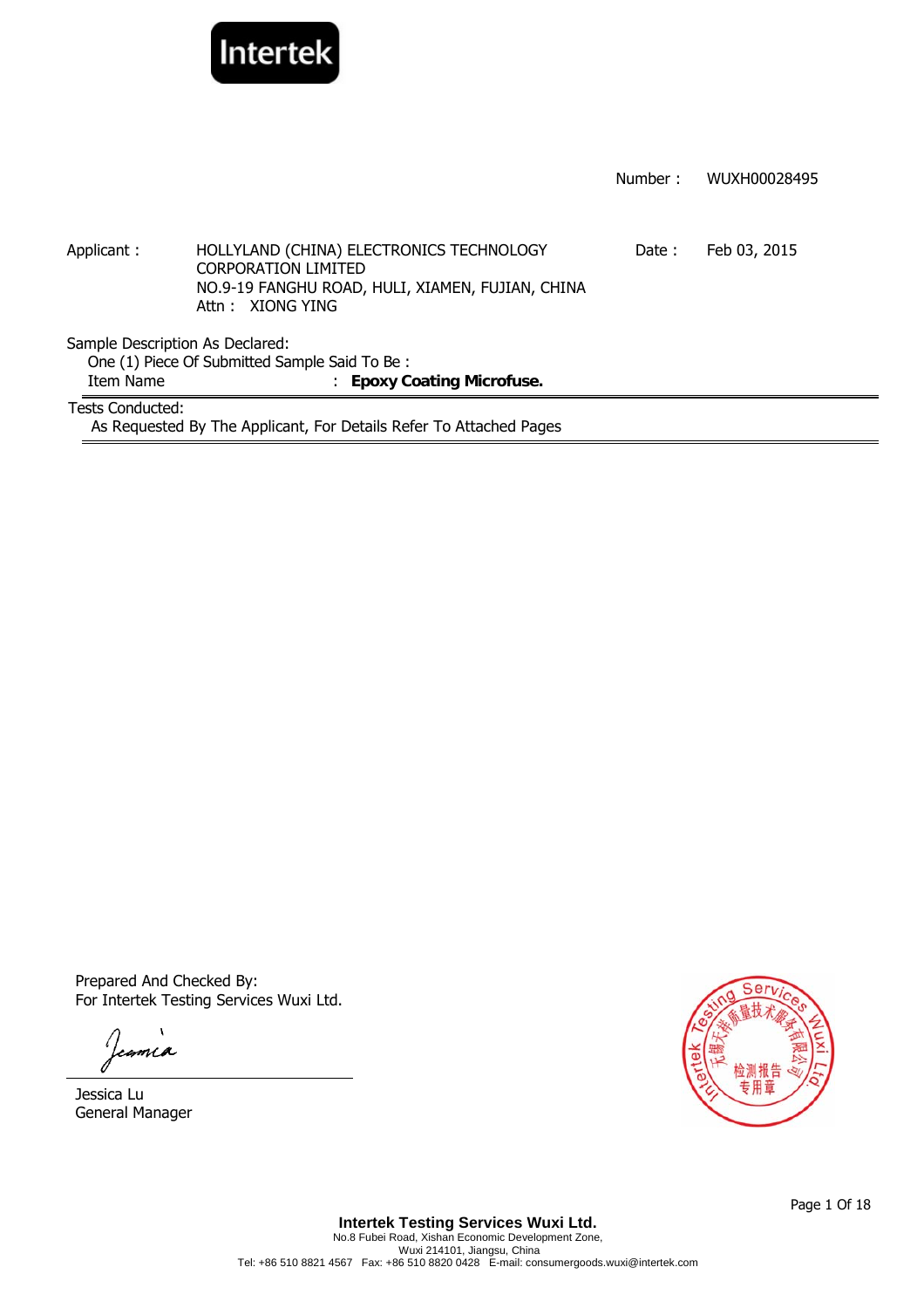

|                                 |                                                                                                                                         | Number: | WUXH00028495 |
|---------------------------------|-----------------------------------------------------------------------------------------------------------------------------------------|---------|--------------|
|                                 |                                                                                                                                         |         |              |
| Applicant:                      | HOLLYLAND (CHINA) ELECTRONICS TECHNOLOGY<br>CORPORATION LIMITED<br>NO.9-19 FANGHU ROAD, HULI, XIAMEN, FUJIAN, CHINA<br>Attn: XIONG YING | Date:   | Feb 03, 2015 |
| Sample Description As Declared: |                                                                                                                                         |         |              |
|                                 | One (1) Piece Of Submitted Sample Said To Be:                                                                                           |         |              |
| Item Name                       | : Epoxy Coating Microfuse.                                                                                                              |         |              |
| Tests Conducted:                |                                                                                                                                         |         |              |
|                                 | As Requested By The Applicant, For Details Refer To Attached Pages                                                                      |         |              |

Prepared And Checked By: For Intertek Testing Services Wuxi Ltd.

Jeania

Jessica Lu General Manager

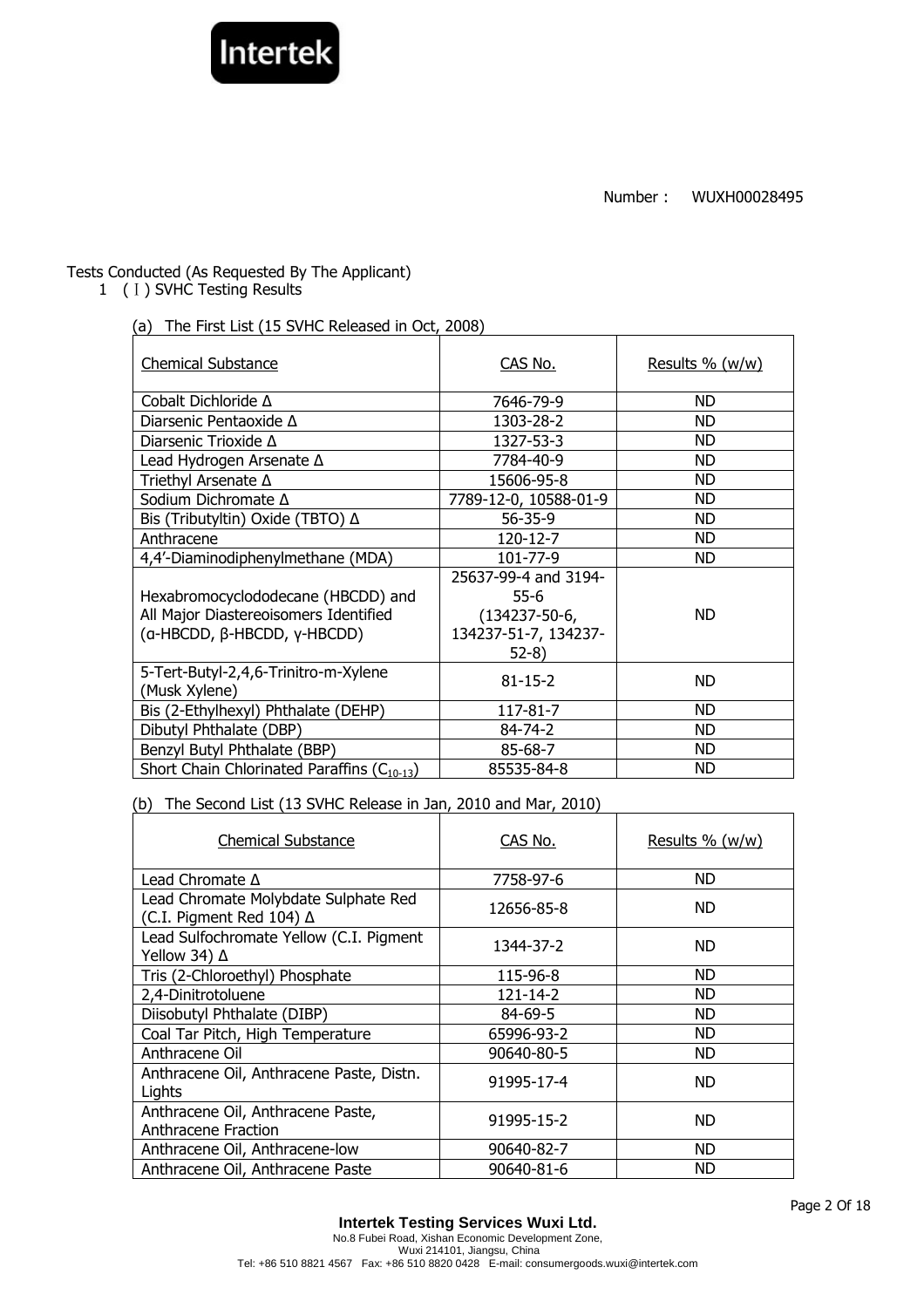

# Tests Conducted (As Requested By The Applicant)

1 (I) SVHC Testing Results

(a) The First List (15 SVHC Released in Oct, 2008)

| <b>Chemical Substance</b>                                                                                  | CAS No.                                                                                 | Results $% (w/w)$ |
|------------------------------------------------------------------------------------------------------------|-----------------------------------------------------------------------------------------|-------------------|
| Cobalt Dichloride A                                                                                        | 7646-79-9                                                                               | ND.               |
| Diarsenic Pentaoxide $\Delta$                                                                              | 1303-28-2                                                                               | ND.               |
| Diarsenic Trioxide $\Delta$                                                                                | 1327-53-3                                                                               | ND                |
| Lead Hydrogen Arsenate A                                                                                   | 7784-40-9                                                                               | ND.               |
| Triethyl Arsenate A                                                                                        | 15606-95-8                                                                              | ND.               |
| Sodium Dichromate Δ                                                                                        | 7789-12-0, 10588-01-9                                                                   | ND                |
| Bis (Tributyltin) Oxide (TBTO) ∆                                                                           | $56 - 35 - 9$                                                                           | ND.               |
| Anthracene                                                                                                 | 120-12-7                                                                                | ND.               |
| 4,4'-Diaminodiphenylmethane (MDA)                                                                          | 101-77-9                                                                                | ND.               |
| Hexabromocyclododecane (HBCDD) and<br>All Major Diastereoisomers Identified<br>(a-HBCDD, β-HBCDD, γ-HBCDD) | 25637-99-4 and 3194-<br>$55-6$<br>$(134237 - 50 - 6,$<br>134237-51-7, 134237-<br>$52-8$ | <b>ND</b>         |
| 5-Tert-Butyl-2,4,6-Trinitro-m-Xylene<br>(Musk Xylene)                                                      | $81 - 15 - 2$                                                                           | ND.               |
| Bis (2-Ethylhexyl) Phthalate (DEHP)                                                                        | 117-81-7                                                                                | ND.               |
| Dibutyl Phthalate (DBP)                                                                                    | 84-74-2                                                                                 | ND                |
| Benzyl Butyl Phthalate (BBP)                                                                               | 85-68-7                                                                                 | ND                |
| Short Chain Chlorinated Paraffins (C <sub>10-13</sub> )                                                    | 85535-84-8                                                                              | ND                |

(b) The Second List (13 SVHC Release in Jan, 2010 and Mar, 2010)

| <b>Chemical Substance</b>                                        | CAS No.       | Results $% (w/w)$ |
|------------------------------------------------------------------|---------------|-------------------|
| Lead Chromate $\Delta$                                           | 7758-97-6     | ND                |
| Lead Chromate Molybdate Sulphate Red<br>(C.I. Pigment Red 104) ∆ | 12656-85-8    | ND.               |
| Lead Sulfochromate Yellow (C.I. Pigment<br>Yellow 34) ∆          | 1344-37-2     | ND.               |
| Tris (2-Chloroethyl) Phosphate                                   | 115-96-8      | ND                |
| 2,4-Dinitrotoluene                                               | 121-14-2      | ND                |
| Diisobutyl Phthalate (DIBP)                                      | $84 - 69 - 5$ | <b>ND</b>         |
| Coal Tar Pitch, High Temperature                                 | 65996-93-2    | <b>ND</b>         |
| Anthracene Oil                                                   | 90640-80-5    | ND                |
| Anthracene Oil, Anthracene Paste, Distn.<br>Lights               | 91995-17-4    | <b>ND</b>         |
| Anthracene Oil, Anthracene Paste,<br>Anthracene Fraction         | 91995-15-2    | ND.               |
| Anthracene Oil, Anthracene-low                                   | 90640-82-7    | ND.               |
| Anthracene Oil, Anthracene Paste                                 | 90640-81-6    | <b>ND</b>         |

Page 2 Of 18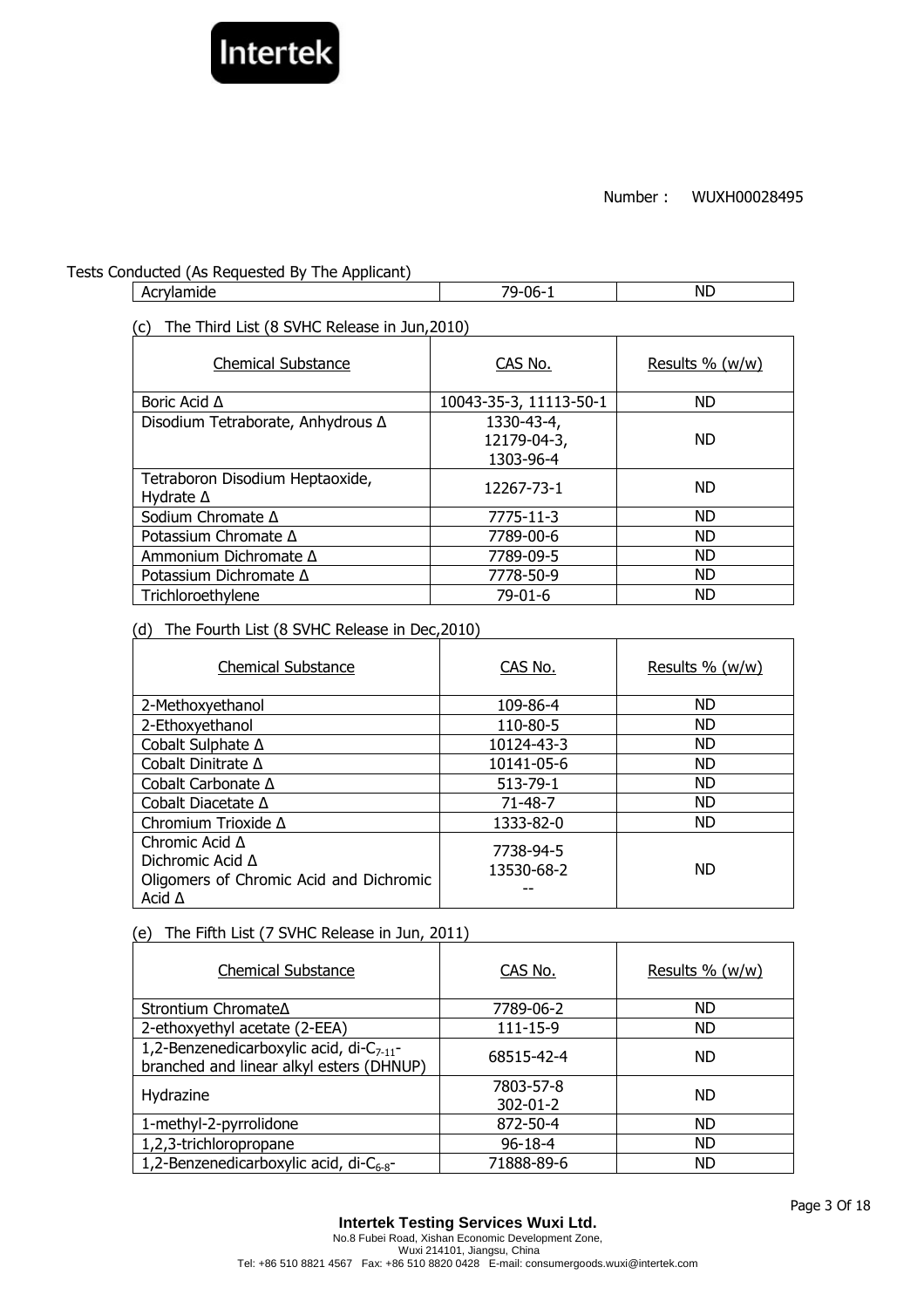

# Tests Conducted (As Requested By The Applicant)

| Haacca (As Reguestea D)<br><b>THE ADDITION</b> |             |    |  |  |
|------------------------------------------------|-------------|----|--|--|
| .<br>A.<br>miae<br>via.<br>ה הי                | $06-$<br>ט. | NL |  |  |
|                                                |             |    |  |  |

## (c) The Third List (8 SVHC Release in Jun,2010)

| <b>Chemical Substance</b>                           | CAS No.                                | Results % (w/w) |
|-----------------------------------------------------|----------------------------------------|-----------------|
| Boric Acid ∆                                        | 10043-35-3, 11113-50-1                 | ND.             |
| Disodium Tetraborate, Anhydrous ∆                   | 1330-43-4,<br>12179-04-3,<br>1303-96-4 | <b>ND</b>       |
| Tetraboron Disodium Heptaoxide,<br>Hydrate $\Delta$ | 12267-73-1                             | <b>ND</b>       |
| Sodium Chromate Δ                                   | 7775-11-3                              | <b>ND</b>       |
| Potassium Chromate Δ                                | 7789-00-6                              | <b>ND</b>       |
| Ammonium Dichromate Δ                               | 7789-09-5                              | <b>ND</b>       |
| Potassium Dichromate ∆                              | 7778-50-9                              | <b>ND</b>       |
| Trichloroethylene                                   | $79-01-6$                              | <b>ND</b>       |

## (d) The Fourth List (8 SVHC Release in Dec,2010)

| <b>Chemical Substance</b>                                                                                    | CAS No.                 | Results % (w/w) |
|--------------------------------------------------------------------------------------------------------------|-------------------------|-----------------|
| 2-Methoxyethanol                                                                                             | 109-86-4                | <b>ND</b>       |
| 2-Ethoxyethanol                                                                                              | 110-80-5                | <b>ND</b>       |
| Cobalt Sulphate ∆                                                                                            | 10124-43-3              | <b>ND</b>       |
| Cobalt Dinitrate ∆                                                                                           | 10141-05-6              | <b>ND</b>       |
| Cobalt Carbonate Δ                                                                                           | $513 - 79 - 1$          | <b>ND</b>       |
| Cobalt Diacetate $\Delta$                                                                                    | $71 - 48 - 7$           | <b>ND</b>       |
| Chromium Trioxide Δ                                                                                          | 1333-82-0               | <b>ND</b>       |
| Chromic Acid $\Delta$<br>Dichromic Acid $\Delta$<br>Oligomers of Chromic Acid and Dichromic<br>Acid $\Delta$ | 7738-94-5<br>13530-68-2 | <b>ND</b>       |

## (e) The Fifth List (7 SVHC Release in Jun, 2011)

| <b>Chemical Substance</b>                                                                        | CAS No.                     | Results % (w/w) |
|--------------------------------------------------------------------------------------------------|-----------------------------|-----------------|
| Strontium Chromate∆                                                                              | 7789-06-2                   | <b>ND</b>       |
| 2-ethoxyethyl acetate (2-EEA)                                                                    | 111-15-9                    | <b>ND</b>       |
| 1,2-Benzenedicarboxylic acid, di-C <sub>7-11</sub> -<br>branched and linear alkyl esters (DHNUP) | 68515-42-4                  | <b>ND</b>       |
| Hydrazine                                                                                        | 7803-57-8<br>$302 - 01 - 2$ | <b>ND</b>       |
| 1-methyl-2-pyrrolidone                                                                           | 872-50-4                    | <b>ND</b>       |
| 1,2,3-trichloropropane                                                                           | $96 - 18 - 4$               | <b>ND</b>       |
| 1,2-Benzenedicarboxylic acid, di- $C_{6-8}$ -                                                    | 71888-89-6                  | <b>ND</b>       |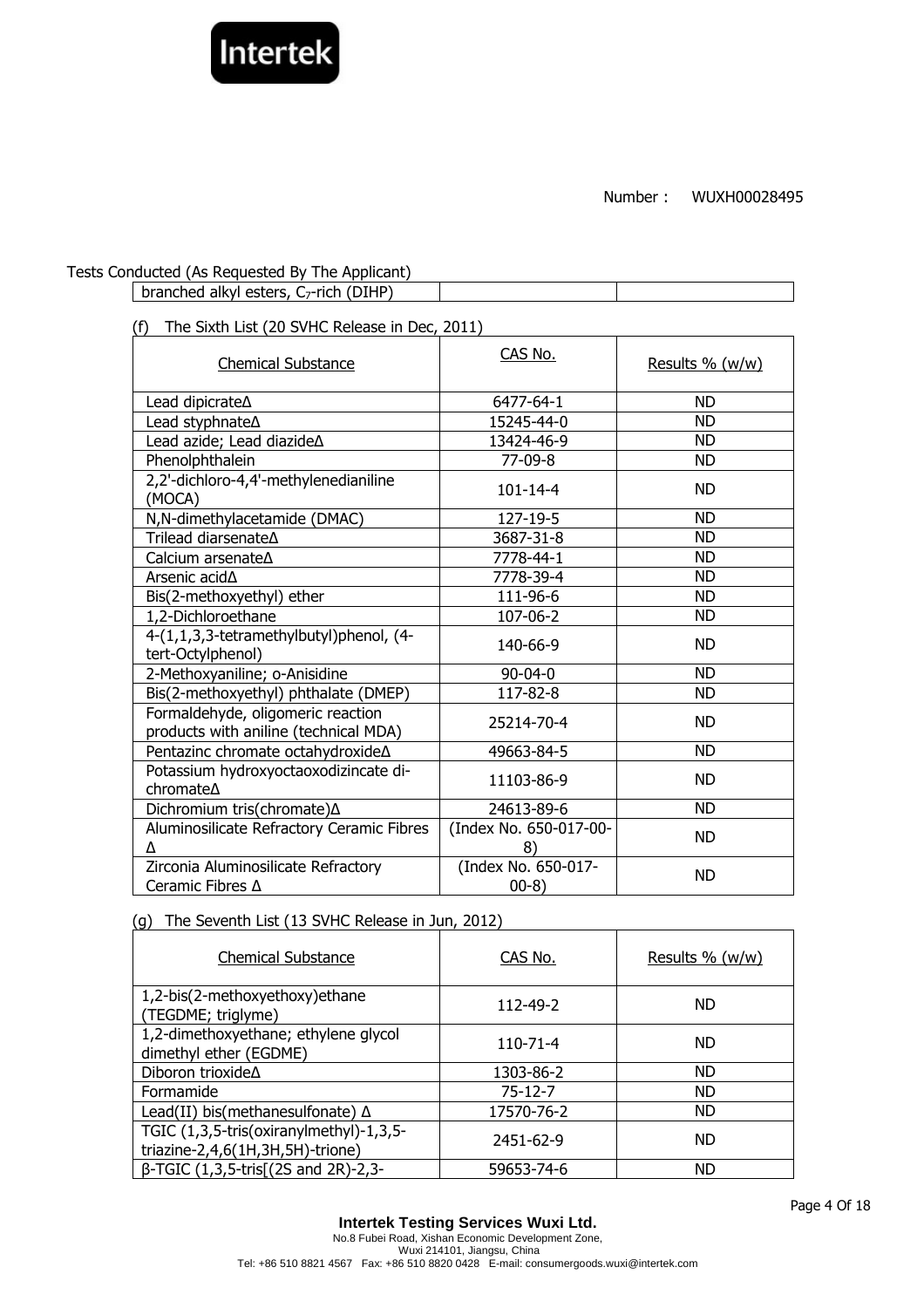

# Tests Conducted (As Requested By The Applicant)

 $|$  branched alkyl esters, C<sub>7</sub>-rich (DIHP)

## (f) The Sixth List (20 SVHC Release in Dec, 2011)

| <b>Chemical Substance</b>                                                  | CAS No.                       | Results % (w/w) |
|----------------------------------------------------------------------------|-------------------------------|-----------------|
| Lead dipicrate $\Delta$                                                    | 6477-64-1                     | <b>ND</b>       |
| Lead styphnate <sup><math>\Delta</math></sup>                              | 15245-44-0                    | <b>ND</b>       |
| Lead azide; Lead diazideA                                                  | 13424-46-9                    | ND              |
| Phenolphthalein                                                            | 77-09-8                       | <b>ND</b>       |
| 2,2'-dichloro-4,4'-methylenedianiline<br>(MOCA)                            | $101 - 14 - 4$                | <b>ND</b>       |
| N,N-dimethylacetamide (DMAC)                                               | 127-19-5                      | <b>ND</b>       |
| Trilead diarsenateA                                                        | 3687-31-8                     | <b>ND</b>       |
| Calcium arsenate <sup>A</sup>                                              | 7778-44-1                     | <b>ND</b>       |
| Arsenic acid $\Delta$                                                      | 7778-39-4                     | <b>ND</b>       |
| Bis(2-methoxyethyl) ether                                                  | 111-96-6                      | <b>ND</b>       |
| 1,2-Dichloroethane                                                         | 107-06-2                      | <b>ND</b>       |
| 4-(1,1,3,3-tetramethylbutyl)phenol, (4-<br>tert-Octylphenol)               | 140-66-9                      | <b>ND</b>       |
| 2-Methoxyaniline; o-Anisidine                                              | $90 - 04 - 0$                 | <b>ND</b>       |
| Bis(2-methoxyethyl) phthalate (DMEP)                                       | 117-82-8                      | <b>ND</b>       |
| Formaldehyde, oligomeric reaction<br>products with aniline (technical MDA) | 25214-70-4                    | <b>ND</b>       |
| Pentazinc chromate octahydroxide∆                                          | 49663-84-5                    | <b>ND</b>       |
| Potassium hydroxyoctaoxodizincate di-<br>chromate∆                         | 11103-86-9                    | <b>ND</b>       |
| Dichromium tris(chromate)∆                                                 | 24613-89-6                    | <b>ND</b>       |
| Aluminosilicate Refractory Ceramic Fibres<br>Λ                             | (Index No. 650-017-00-<br>8)  | <b>ND</b>       |
| Zirconia Aluminosilicate Refractory<br>Ceramic Fibres $\Delta$             | (Index No. 650-017-<br>$00-8$ | <b>ND</b>       |

# (g) The Seventh List (13 SVHC Release in Jun, 2012)

| <b>Chemical Substance</b>                                                   | CAS No.        | Results $\%$ (w/w) |
|-----------------------------------------------------------------------------|----------------|--------------------|
| 1,2-bis(2-methoxyethoxy) ethane<br>(TEGDME; triglyme)                       | 112-49-2       | <b>ND</b>          |
| 1,2-dimethoxyethane; ethylene glycol<br>dimethyl ether (EGDME)              | $110 - 71 - 4$ | <b>ND</b>          |
| Diboron trioxide $\Delta$                                                   | 1303-86-2      | <b>ND</b>          |
| Formamide                                                                   | $75 - 12 - 7$  | <b>ND</b>          |
| Lead(II) bis(methanesulfonate) $\Delta$                                     | 17570-76-2     | <b>ND</b>          |
| TGIC (1,3,5-tris(oxiranylmethyl)-1,3,5-<br>triazine-2,4,6(1H,3H,5H)-trione) | 2451-62-9      | <b>ND</b>          |
| β-TGIC (1,3,5-tris[(2S and 2R)-2,3-                                         | 59653-74-6     | <b>ND</b>          |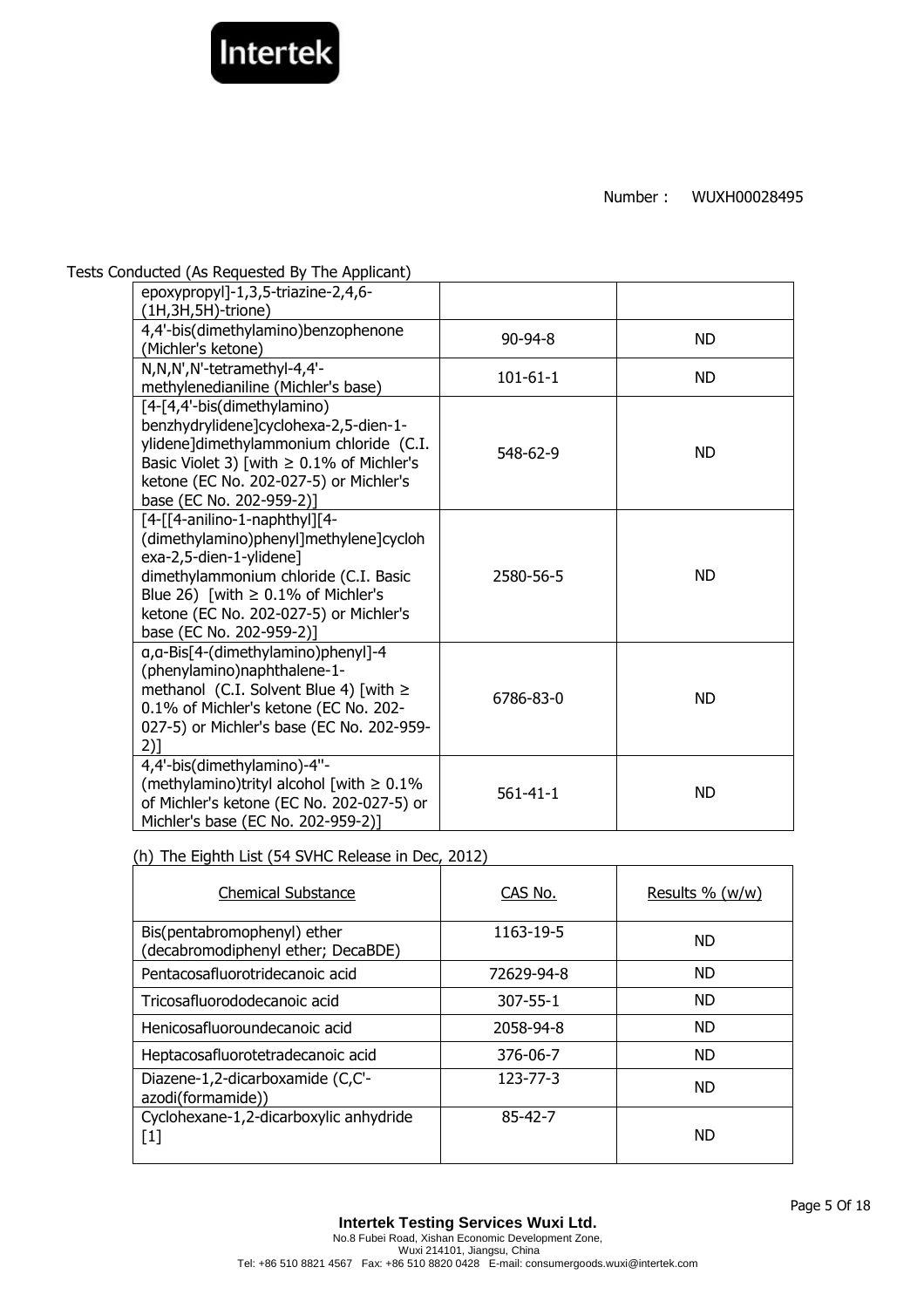

Tests Conducted (As Requested By The Applicant)

| epoxypropyl]-1,3,5-triazine-2,4,6-<br>$(1H, 3H, 5H)$ -trione)                                                                                                                                                                                                |                |           |
|--------------------------------------------------------------------------------------------------------------------------------------------------------------------------------------------------------------------------------------------------------------|----------------|-----------|
| 4,4'-bis(dimethylamino)benzophenone<br>(Michler's ketone)                                                                                                                                                                                                    | $90 - 94 - 8$  | <b>ND</b> |
| N,N,N',N'-tetramethyl-4,4'-<br>methylenedianiline (Michler's base)                                                                                                                                                                                           | $101 - 61 - 1$ | <b>ND</b> |
| [4-[4,4'-bis(dimethylamino)<br>benzhydrylidene]cyclohexa-2,5-dien-1-<br>ylidene]dimethylammonium chloride (C.I.<br>Basic Violet 3) [with $\geq$ 0.1% of Michler's<br>ketone (EC No. 202-027-5) or Michler's<br>base (EC No. 202-959-2)]                      | 548-62-9       | <b>ND</b> |
| [4-[[4-anilino-1-naphthyl][4-<br>(dimethylamino)phenyl]methylene]cycloh<br>exa-2,5-dien-1-ylidene]<br>dimethylammonium chloride (C.I. Basic<br>Blue 26) [with $\geq$ 0.1% of Michler's<br>ketone (EC No. 202-027-5) or Michler's<br>base (EC No. 202-959-2)] | 2580-56-5      | <b>ND</b> |
| a, a-Bis[4-(dimethylamino)phenyl]-4<br>(phenylamino)naphthalene-1-<br>methanol (C.I. Solvent Blue 4) [with $\ge$<br>0.1% of Michler's ketone (EC No. 202-<br>027-5) or Michler's base (EC No. 202-959-<br>$2)$ ]                                             | 6786-83-0      | <b>ND</b> |
| 4,4'-bis(dimethylamino)-4"-<br>(methylamino)trityl alcohol [with $\geq 0.1\%$<br>of Michler's ketone (EC No. 202-027-5) or<br>Michler's base (EC No. 202-959-2)]                                                                                             | $561 - 41 - 1$ | <b>ND</b> |

(h) The Eighth List (54 SVHC Release in Dec, 2012)

| <b>Chemical Substance</b>                                         | CAS No.        | Results $\%$ (w/w) |
|-------------------------------------------------------------------|----------------|--------------------|
| Bis(pentabromophenyl) ether<br>(decabromodiphenyl ether; DecaBDE) | 1163-19-5      | <b>ND</b>          |
| Pentacosafluorotridecanoic acid                                   | 72629-94-8     | <b>ND</b>          |
| Tricosafluorododecanoic acid                                      | $307 - 55 - 1$ | <b>ND</b>          |
| Henicosafluoroundecanoic acid                                     | 2058-94-8      | <b>ND</b>          |
| Heptacosafluorotetradecanoic acid                                 | 376-06-7       | <b>ND</b>          |
| Diazene-1,2-dicarboxamide (C,C'-<br>azodi(formamide))             | $123 - 77 - 3$ | <b>ND</b>          |
| Cyclohexane-1,2-dicarboxylic anhydride<br>$[1]$                   | $85 - 42 - 7$  | <b>ND</b>          |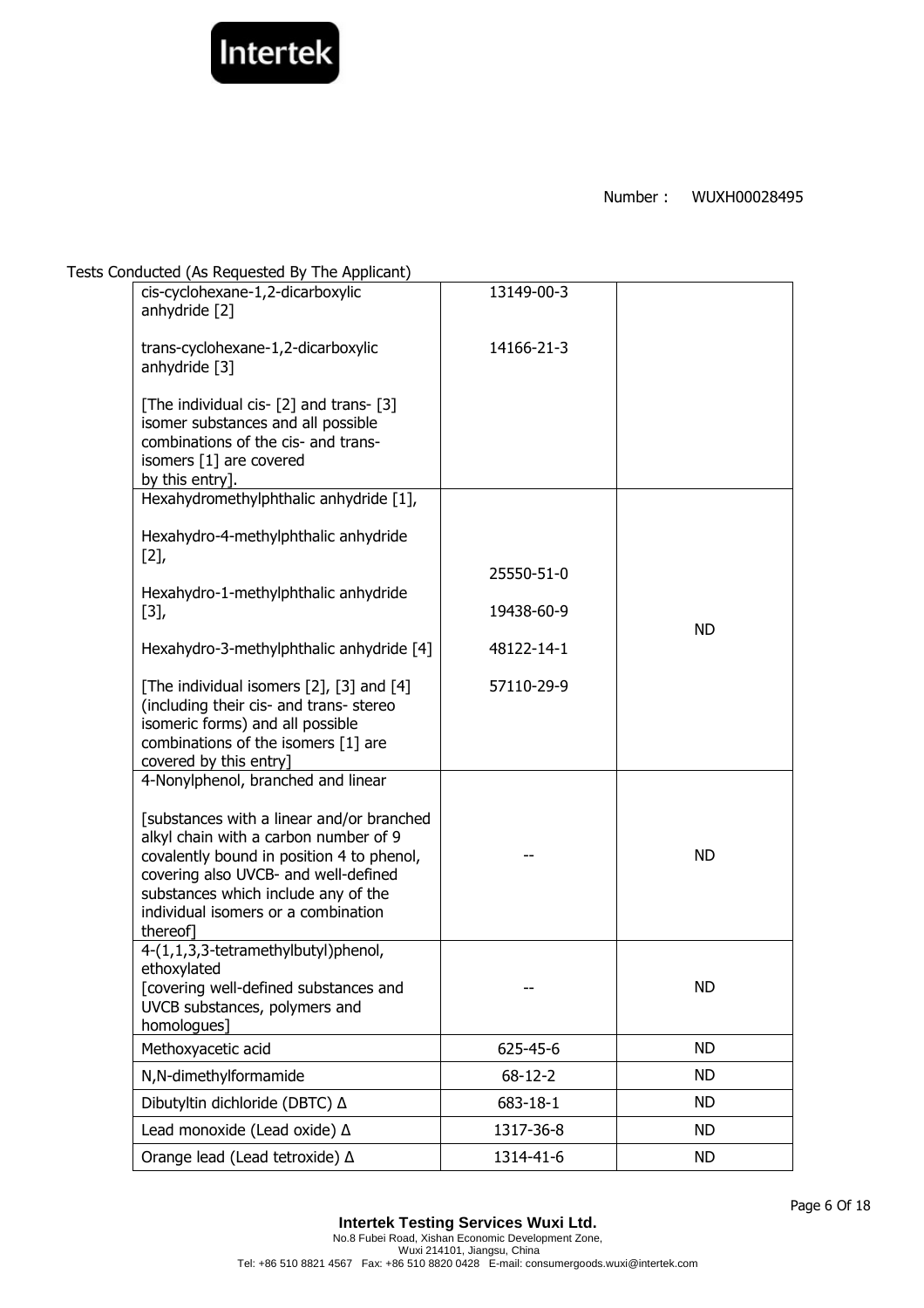

| Tests Conducted (As Requested By The Applicant)                                                                                                                                                                                                                                                        |               |           |
|--------------------------------------------------------------------------------------------------------------------------------------------------------------------------------------------------------------------------------------------------------------------------------------------------------|---------------|-----------|
| cis-cyclohexane-1,2-dicarboxylic<br>anhydride [2]                                                                                                                                                                                                                                                      | 13149-00-3    |           |
| trans-cyclohexane-1,2-dicarboxylic<br>anhydride [3]                                                                                                                                                                                                                                                    | 14166-21-3    |           |
| [The individual cis- [2] and trans- [3]<br>isomer substances and all possible<br>combinations of the cis- and trans-<br>isomers [1] are covered<br>by this entry].                                                                                                                                     |               |           |
| Hexahydromethylphthalic anhydride [1],                                                                                                                                                                                                                                                                 |               |           |
| Hexahydro-4-methylphthalic anhydride<br>[2]                                                                                                                                                                                                                                                            |               |           |
| Hexahydro-1-methylphthalic anhydride                                                                                                                                                                                                                                                                   | 25550-51-0    |           |
| $[3],$                                                                                                                                                                                                                                                                                                 | 19438-60-9    | <b>ND</b> |
| Hexahydro-3-methylphthalic anhydride [4]                                                                                                                                                                                                                                                               | 48122-14-1    |           |
| [The individual isomers [2], [3] and [4]<br>(including their cis- and trans- stereo<br>isomeric forms) and all possible<br>combinations of the isomers [1] are<br>covered by this entry]                                                                                                               | 57110-29-9    |           |
| 4-Nonylphenol, branched and linear<br>[substances with a linear and/or branched<br>alkyl chain with a carbon number of 9<br>covalently bound in position 4 to phenol,<br>covering also UVCB- and well-defined<br>substances which include any of the<br>individual isomers or a combination<br>thereof |               | <b>ND</b> |
| 4-(1,1,3,3-tetramethylbutyl)phenol,<br>ethoxylated<br>[covering well-defined substances and<br>UVCB substances, polymers and<br>homologues]                                                                                                                                                            |               | <b>ND</b> |
| Methoxyacetic acid                                                                                                                                                                                                                                                                                     | 625-45-6      | <b>ND</b> |
| N,N-dimethylformamide                                                                                                                                                                                                                                                                                  | $68 - 12 - 2$ | <b>ND</b> |
| Dibutyltin dichloride (DBTC) Δ                                                                                                                                                                                                                                                                         | 683-18-1      | <b>ND</b> |
| Lead monoxide (Lead oxide) $\Delta$                                                                                                                                                                                                                                                                    | 1317-36-8     | ND        |
| Orange lead (Lead tetroxide) $\Delta$                                                                                                                                                                                                                                                                  | 1314-41-6     | <b>ND</b> |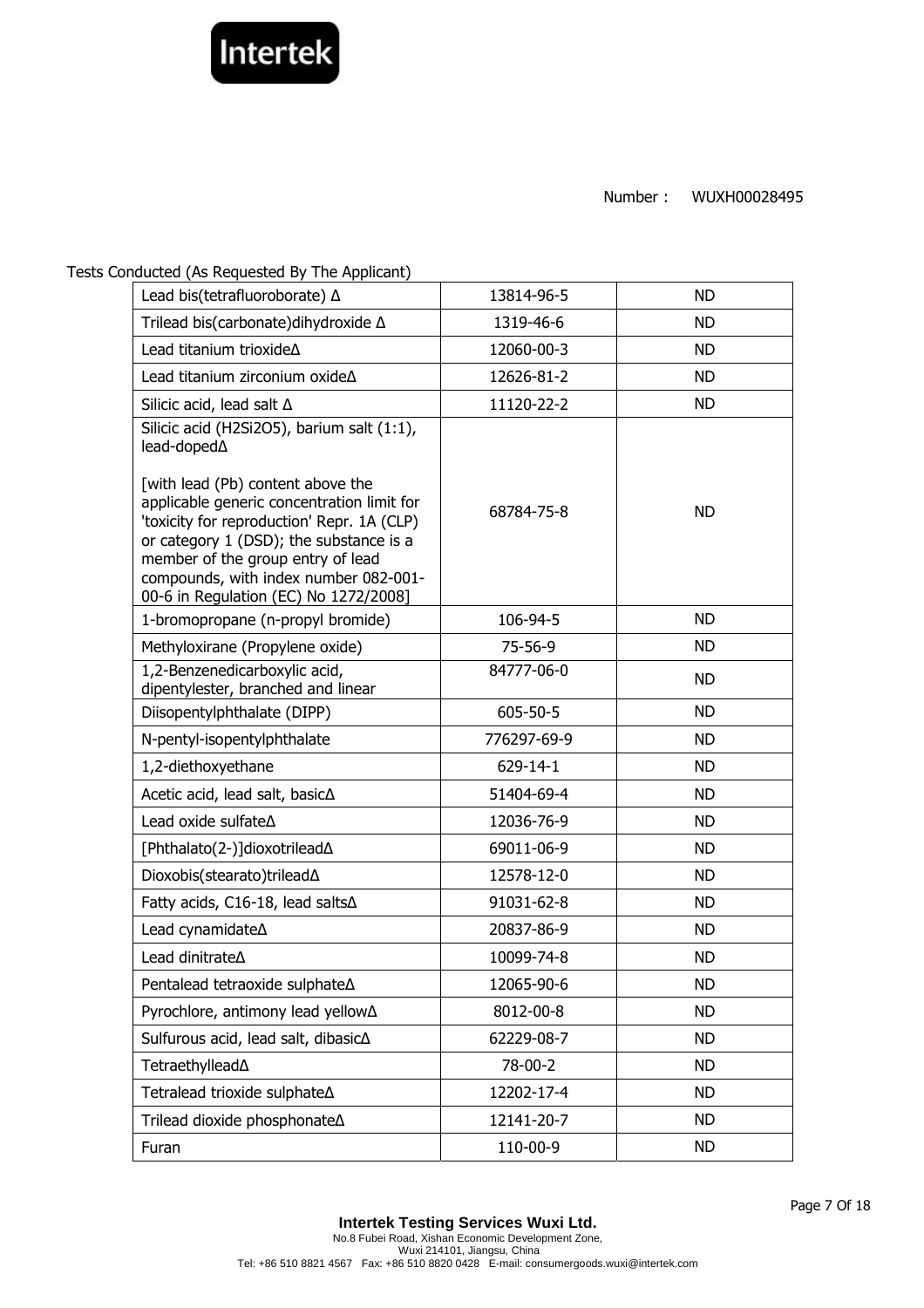

Tests Conducted (As Requested By The Applicant)

| Lead bis(tetrafluoroborate) $\Delta$                                                                                                                                                                                                                       | 13814-96-5     | <b>ND</b> |
|------------------------------------------------------------------------------------------------------------------------------------------------------------------------------------------------------------------------------------------------------------|----------------|-----------|
| Trilead bis(carbonate) dihy droxide A                                                                                                                                                                                                                      | 1319-46-6      | <b>ND</b> |
| Lead titanium trioxideA                                                                                                                                                                                                                                    | 12060-00-3     | <b>ND</b> |
| Lead titanium zirconium oxide∆                                                                                                                                                                                                                             | 12626-81-2     | ND.       |
| Silicic acid, lead salt $\Delta$                                                                                                                                                                                                                           | 11120-22-2     | <b>ND</b> |
| Silicic acid (H2Si2O5), barium salt (1:1),<br>lead-doped $\Delta$<br>[with lead (Pb) content above the                                                                                                                                                     |                |           |
| applicable generic concentration limit for<br>'toxicity for reproduction' Repr. 1A (CLP)<br>or category 1 (DSD); the substance is a<br>member of the group entry of lead<br>compounds, with index number 082-001-<br>00-6 in Regulation (EC) No 1272/2008] | 68784-75-8     | <b>ND</b> |
| 1-bromopropane (n-propyl bromide)                                                                                                                                                                                                                          | 106-94-5       | <b>ND</b> |
| Methyloxirane (Propylene oxide)                                                                                                                                                                                                                            | 75-56-9        | <b>ND</b> |
| 1,2-Benzenedicarboxylic acid,<br>dipentylester, branched and linear                                                                                                                                                                                        | 84777-06-0     | <b>ND</b> |
| Diisopentylphthalate (DIPP)                                                                                                                                                                                                                                | 605-50-5       | <b>ND</b> |
| N-pentyl-isopentylphthalate                                                                                                                                                                                                                                | 776297-69-9    | ND.       |
| 1,2-diethoxyethane                                                                                                                                                                                                                                         | $629 - 14 - 1$ | <b>ND</b> |
| Acetic acid, lead salt, basic∆                                                                                                                                                                                                                             | 51404-69-4     | <b>ND</b> |
| Lead oxide sulfate $\Delta$                                                                                                                                                                                                                                | 12036-76-9     | <b>ND</b> |
| [Phthalato(2-)]dioxotrilead∆                                                                                                                                                                                                                               | 69011-06-9     | <b>ND</b> |
| Dioxobis(stearato)trilead∆                                                                                                                                                                                                                                 | 12578-12-0     | ND        |
| Fatty acids, C16-18, lead salts∆                                                                                                                                                                                                                           | 91031-62-8     | <b>ND</b> |
| Lead cynamidateA                                                                                                                                                                                                                                           | 20837-86-9     | <b>ND</b> |
| Lead dinitrate <sup><math>\Delta</math></sup>                                                                                                                                                                                                              | 10099-74-8     | <b>ND</b> |
| Pentalead tetraoxide sulphate∆                                                                                                                                                                                                                             | 12065-90-6     | ND.       |
| Pyrochlore, antimony lead yellow∆                                                                                                                                                                                                                          | 8012-00-8      | <b>ND</b> |
| Sulfurous acid, lead salt, dibasic∆                                                                                                                                                                                                                        | 62229-08-7     | <b>ND</b> |
| Tetraethyllead∆                                                                                                                                                                                                                                            | 78-00-2        | ND.       |
| Tetralead trioxide sulphateA                                                                                                                                                                                                                               | 12202-17-4     | ND.       |
| Trilead dioxide phosphonateA                                                                                                                                                                                                                               | 12141-20-7     | <b>ND</b> |
| Furan                                                                                                                                                                                                                                                      | 110-00-9       | <b>ND</b> |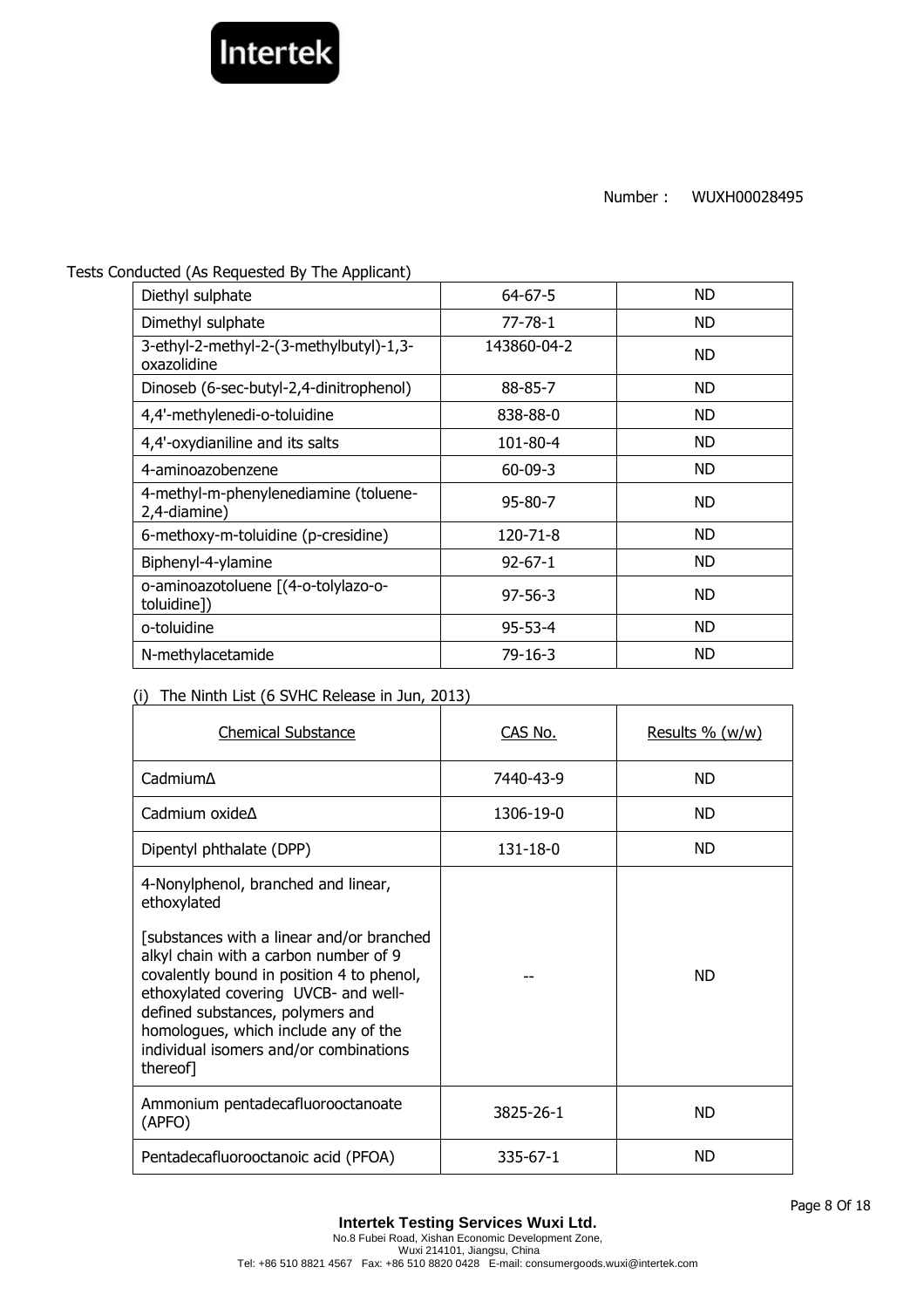

## Tests Conducted (As Requested By The Applicant)

| Diethyl sulphate                                       | $64 - 67 - 5$ | <b>ND</b> |
|--------------------------------------------------------|---------------|-----------|
| Dimethyl sulphate                                      | $77 - 78 - 1$ | <b>ND</b> |
| 3-ethyl-2-methyl-2-(3-methylbutyl)-1,3-<br>oxazolidine | 143860-04-2   | <b>ND</b> |
| Dinoseb (6-sec-butyl-2,4-dinitrophenol)                | 88-85-7       | <b>ND</b> |
| 4,4'-methylenedi-o-toluidine                           | 838-88-0      | <b>ND</b> |
| 4,4'-oxydianiline and its salts                        | 101-80-4      | ND        |
| 4-aminoazobenzene                                      | $60 - 09 - 3$ | ND        |
| 4-methyl-m-phenylenediamine (toluene-<br>2,4-diamine)  | $95 - 80 - 7$ | <b>ND</b> |
| 6-methoxy-m-toluidine (p-cresidine)                    | 120-71-8      | <b>ND</b> |
| Biphenyl-4-ylamine                                     | $92 - 67 - 1$ | ND        |
| o-aminoazotoluene [(4-o-tolylazo-o-<br>toluidine])     | $97 - 56 - 3$ | <b>ND</b> |
| o-toluidine                                            | $95 - 53 - 4$ | <b>ND</b> |
| N-methylacetamide                                      | $79-16-3$     | <b>ND</b> |

# (i) The Ninth List (6 SVHC Release in Jun, 2013)

| <b>Chemical Substance</b>                                                                                                                                                                                                                                                                                                                                                   | CAS No.   | Results % (w/w) |
|-----------------------------------------------------------------------------------------------------------------------------------------------------------------------------------------------------------------------------------------------------------------------------------------------------------------------------------------------------------------------------|-----------|-----------------|
| Cadmium∆                                                                                                                                                                                                                                                                                                                                                                    | 7440-43-9 | <b>ND</b>       |
| Cadmium oxide $\Delta$                                                                                                                                                                                                                                                                                                                                                      | 1306-19-0 | <b>ND</b>       |
| Dipentyl phthalate (DPP)                                                                                                                                                                                                                                                                                                                                                    | 131-18-0  | <b>ND</b>       |
| 4-Nonylphenol, branched and linear,<br>ethoxylated<br>[substances with a linear and/or branched<br>alkyl chain with a carbon number of 9<br>covalently bound in position 4 to phenol,<br>ethoxylated covering UVCB- and well-<br>defined substances, polymers and<br>homologues, which include any of the<br>individual isomers and/or combinations<br>thereof <sup>1</sup> |           | <b>ND</b>       |
| Ammonium pentadecafluorooctanoate<br>(APFO)                                                                                                                                                                                                                                                                                                                                 | 3825-26-1 | <b>ND</b>       |
| Pentadecafluorooctanoic acid (PFOA)                                                                                                                                                                                                                                                                                                                                         | 335-67-1  | <b>ND</b>       |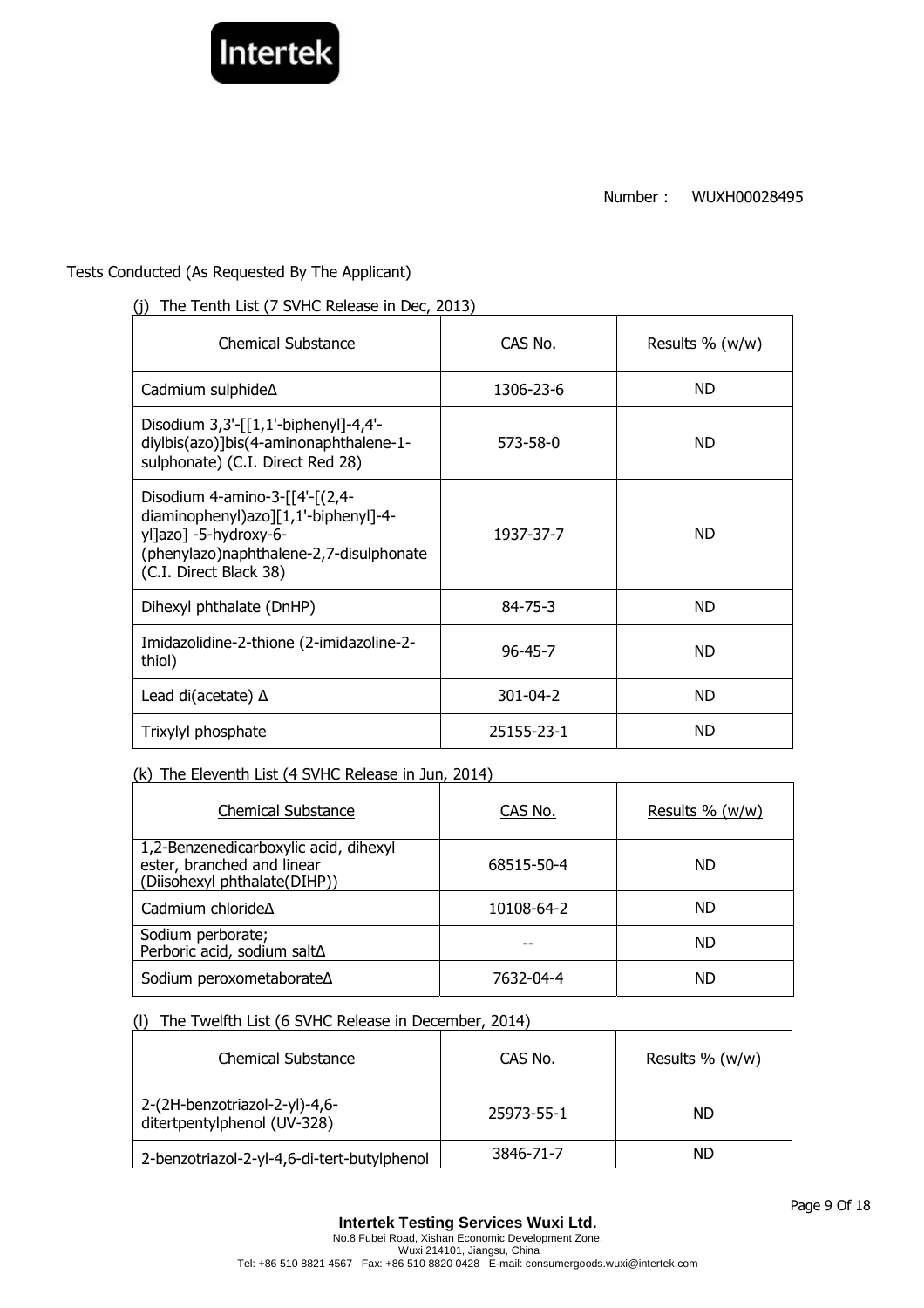

# Tests Conducted (As Requested By The Applicant)

(j) The Tenth List (7 SVHC Release in Dec, 2013)

| <b>Chemical Substance</b>                                                                                                                                            | CAS No.        | Results % (w/w) |
|----------------------------------------------------------------------------------------------------------------------------------------------------------------------|----------------|-----------------|
| Cadmium sulphide∆                                                                                                                                                    | 1306-23-6      | ND.             |
| Disodium $3,3'$ -[[1,1'-biphenyl]-4,4'-<br>diylbis(azo)]bis(4-aminonaphthalene-1-<br>sulphonate) (C.I. Direct Red 28)                                                | 573-58-0       | <b>ND</b>       |
| Disodium 4-amino-3- $[4-(2,4-$<br>diaminophenyl)azo][1,1'-biphenyl]-4-<br>yl]azo] -5-hydroxy-6-<br>(phenylazo)naphthalene-2,7-disulphonate<br>(C.I. Direct Black 38) | 1937-37-7      | ND.             |
| Dihexyl phthalate (DnHP)                                                                                                                                             | $84 - 75 - 3$  | ND.             |
| Imidazolidine-2-thione (2-imidazoline-2-<br>thiol)                                                                                                                   | $96 - 45 - 7$  | ND.             |
| Lead di(acetate) $\Delta$                                                                                                                                            | $301 - 04 - 2$ | ND.             |
| Trixylyl phosphate                                                                                                                                                   | 25155-23-1     | ND              |

# (k) The Eleventh List (4 SVHC Release in Jun, 2014)

| <b>Chemical Substance</b>                                                                           | CAS No.    | Results $% (w/w)$ |
|-----------------------------------------------------------------------------------------------------|------------|-------------------|
| 1,2-Benzenedicarboxylic acid, dihexyl<br>ester, branched and linear<br>(Diisohexyl phthalate(DIHP)) | 68515-50-4 | ND.               |
| Cadmium chloride $\Delta$                                                                           | 10108-64-2 | ND.               |
| Sodium perborate;<br>Perboric acid, sodium salt∆                                                    |            | ND.               |
| Sodium peroxometaborate∆                                                                            | 7632-04-4  | ND.               |

#### (l) The Twelfth List (6 SVHC Release in December, 2014)

| <b>Chemical Substance</b>                                    | CAS No.    | Results % (w/w) |
|--------------------------------------------------------------|------------|-----------------|
| 2-(2H-benzotriazol-2-yl)-4,6-<br>ditertpentylphenol (UV-328) | 25973-55-1 | ND.             |
| 2-benzotriazol-2-yl-4,6-di-tert-butylphenol                  | 3846-71-7  | ND.             |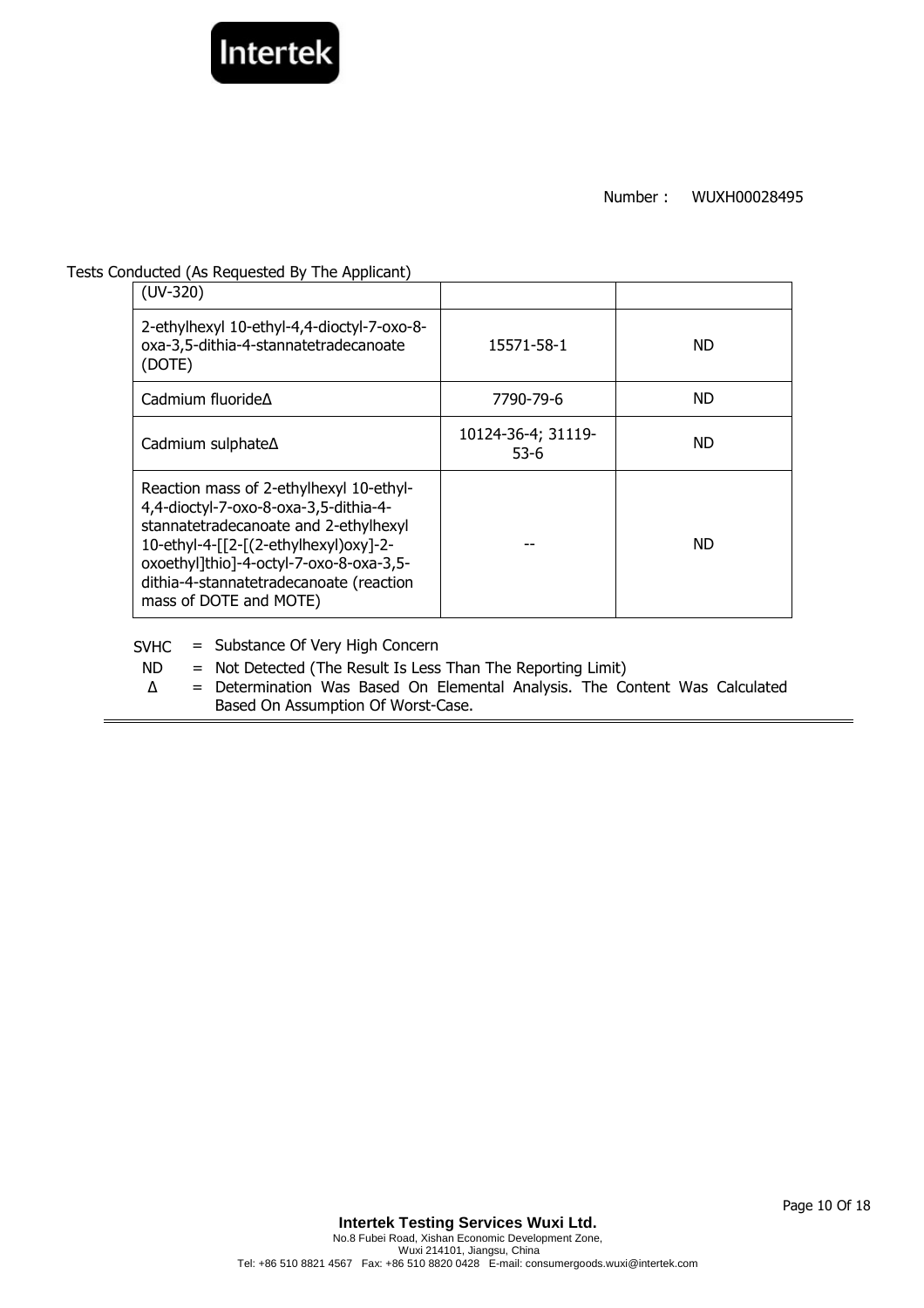

Tests Conducted (As Requested By The Applicant)

| $(UV-320)$                                                                                                                                                                                                                                                                         |                            |           |
|------------------------------------------------------------------------------------------------------------------------------------------------------------------------------------------------------------------------------------------------------------------------------------|----------------------------|-----------|
| 2-ethylhexyl 10-ethyl-4,4-dioctyl-7-oxo-8-<br>oxa-3,5-dithia-4-stannatetradecanoate<br>(DOTE)                                                                                                                                                                                      | 15571-58-1                 | <b>ND</b> |
| Cadmium fluoride $\Delta$                                                                                                                                                                                                                                                          | 7790-79-6                  | ND.       |
| Cadmium sulphate∆                                                                                                                                                                                                                                                                  | 10124-36-4; 31119-<br>53-6 | ND        |
| Reaction mass of 2-ethylhexyl 10-ethyl-<br>4,4-dioctyl-7-oxo-8-oxa-3,5-dithia-4-<br>stannatetradecanoate and 2-ethylhexyl<br>10-ethyl-4-[[2-[(2-ethylhexyl)oxy]-2-<br>oxoethyl]thio]-4-octyl-7-oxo-8-oxa-3,5-<br>dithia-4-stannatetradecanoate (reaction<br>mass of DOTE and MOTE) |                            | <b>ND</b> |

SVHC = Substance Of Very High Concern

- ND = Not Detected (The Result Is Less Than The Reporting Limit)
- ∆ = Determination Was Based On Elemental Analysis. The Content Was Calculated Based On Assumption Of Worst-Case.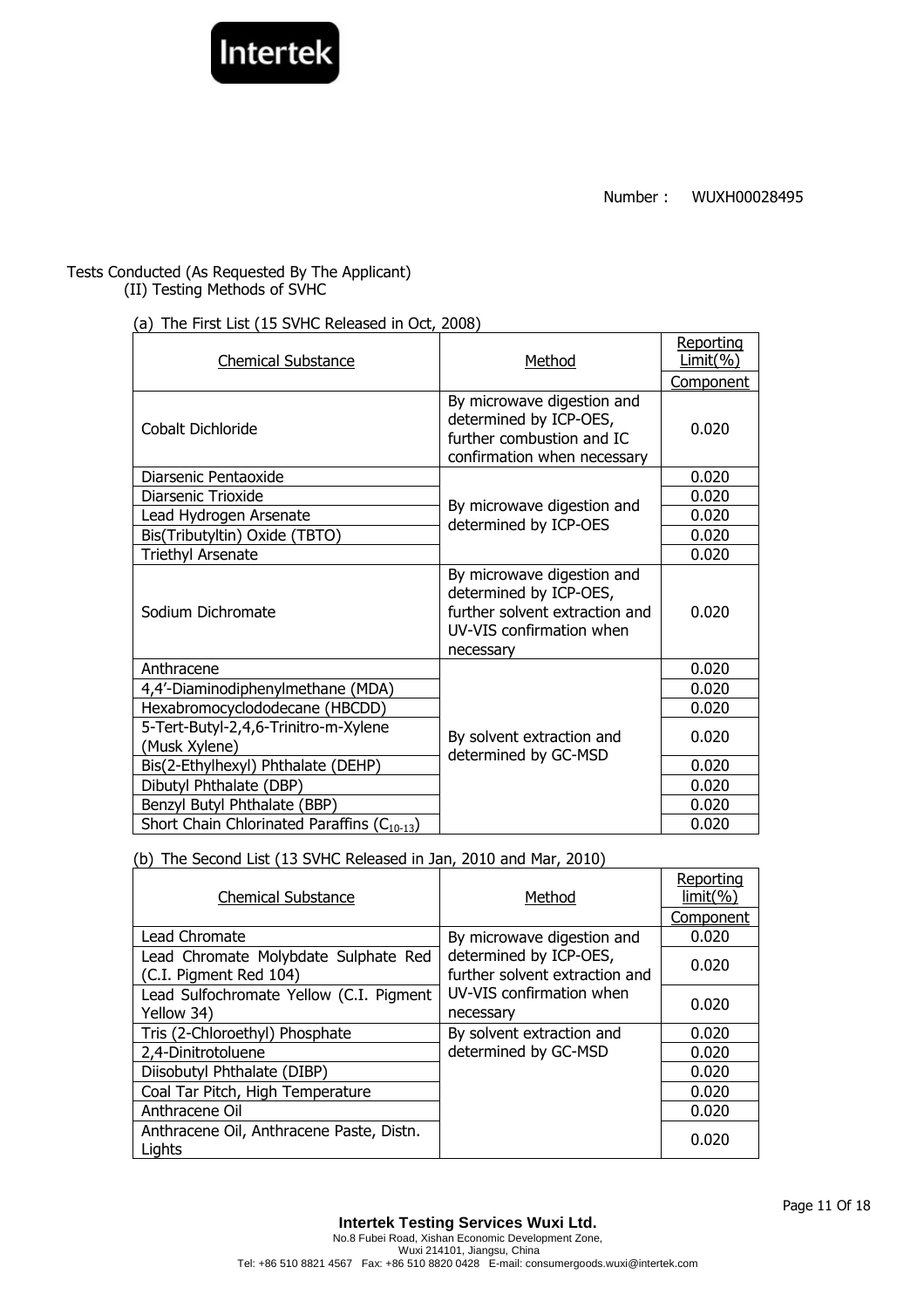

# Tests Conducted (As Requested By The Applicant)

(II) Testing Methods of SVHC

# (a) The First List (15 SVHC Released in Oct, 2008)

| <b>Chemical Substance</b>                               | Method                                                                                                                          | Reporting<br>Limit( %) |
|---------------------------------------------------------|---------------------------------------------------------------------------------------------------------------------------------|------------------------|
|                                                         |                                                                                                                                 | Component              |
| Cobalt Dichloride                                       | By microwave digestion and<br>determined by ICP-OES,<br>further combustion and IC<br>confirmation when necessary                | 0.020                  |
| Diarsenic Pentaoxide                                    |                                                                                                                                 | 0.020                  |
| Diarsenic Trioxide                                      | By microwave digestion and                                                                                                      | 0.020                  |
| Lead Hydrogen Arsenate                                  | determined by ICP-OES                                                                                                           | 0.020                  |
| Bis(Tributyltin) Oxide (TBTO)                           |                                                                                                                                 | 0.020                  |
| <b>Triethyl Arsenate</b>                                |                                                                                                                                 | 0.020                  |
| Sodium Dichromate                                       | By microwave digestion and<br>determined by ICP-OES,<br>further solvent extraction and<br>UV-VIS confirmation when<br>necessary | 0.020                  |
| Anthracene                                              |                                                                                                                                 | 0.020                  |
| 4,4'-Diaminodiphenylmethane (MDA)                       |                                                                                                                                 | 0.020                  |
| Hexabromocyclododecane (HBCDD)                          |                                                                                                                                 | 0.020                  |
| 5-Tert-Butyl-2,4,6-Trinitro-m-Xylene<br>(Musk Xylene)   | By solvent extraction and                                                                                                       | 0.020                  |
| Bis(2-Ethylhexyl) Phthalate (DEHP)                      | determined by GC-MSD                                                                                                            | 0.020                  |
| Dibutyl Phthalate (DBP)                                 |                                                                                                                                 | 0.020                  |
| Benzyl Butyl Phthalate (BBP)                            |                                                                                                                                 | 0.020                  |
| Short Chain Chlorinated Paraffins (C <sub>10-13</sub> ) |                                                                                                                                 | 0.020                  |

(b) The Second List (13 SVHC Released in Jan, 2010 and Mar, 2010)

| <b>Chemical Substance</b>                                      | Method                                                   | Reporting<br>limit(%` |
|----------------------------------------------------------------|----------------------------------------------------------|-----------------------|
|                                                                |                                                          | Component             |
| Lead Chromate                                                  | By microwave digestion and                               | 0.020                 |
| Lead Chromate Molybdate Sulphate Red<br>(C.I. Pigment Red 104) | determined by ICP-OES,<br>further solvent extraction and | 0.020                 |
| Lead Sulfochromate Yellow (C.I. Pigment<br>Yellow 34)          | UV-VIS confirmation when<br>necessary                    | 0.020                 |
| Tris (2-Chloroethyl) Phosphate                                 | By solvent extraction and                                | 0.020                 |
| 2,4-Dinitrotoluene                                             | determined by GC-MSD                                     | 0.020                 |
| Diisobutyl Phthalate (DIBP)                                    |                                                          | 0.020                 |
| Coal Tar Pitch, High Temperature                               |                                                          | 0.020                 |
| Anthracene Oil                                                 |                                                          | 0.020                 |
| Anthracene Oil, Anthracene Paste, Distn.<br>Lights             |                                                          | 0.020                 |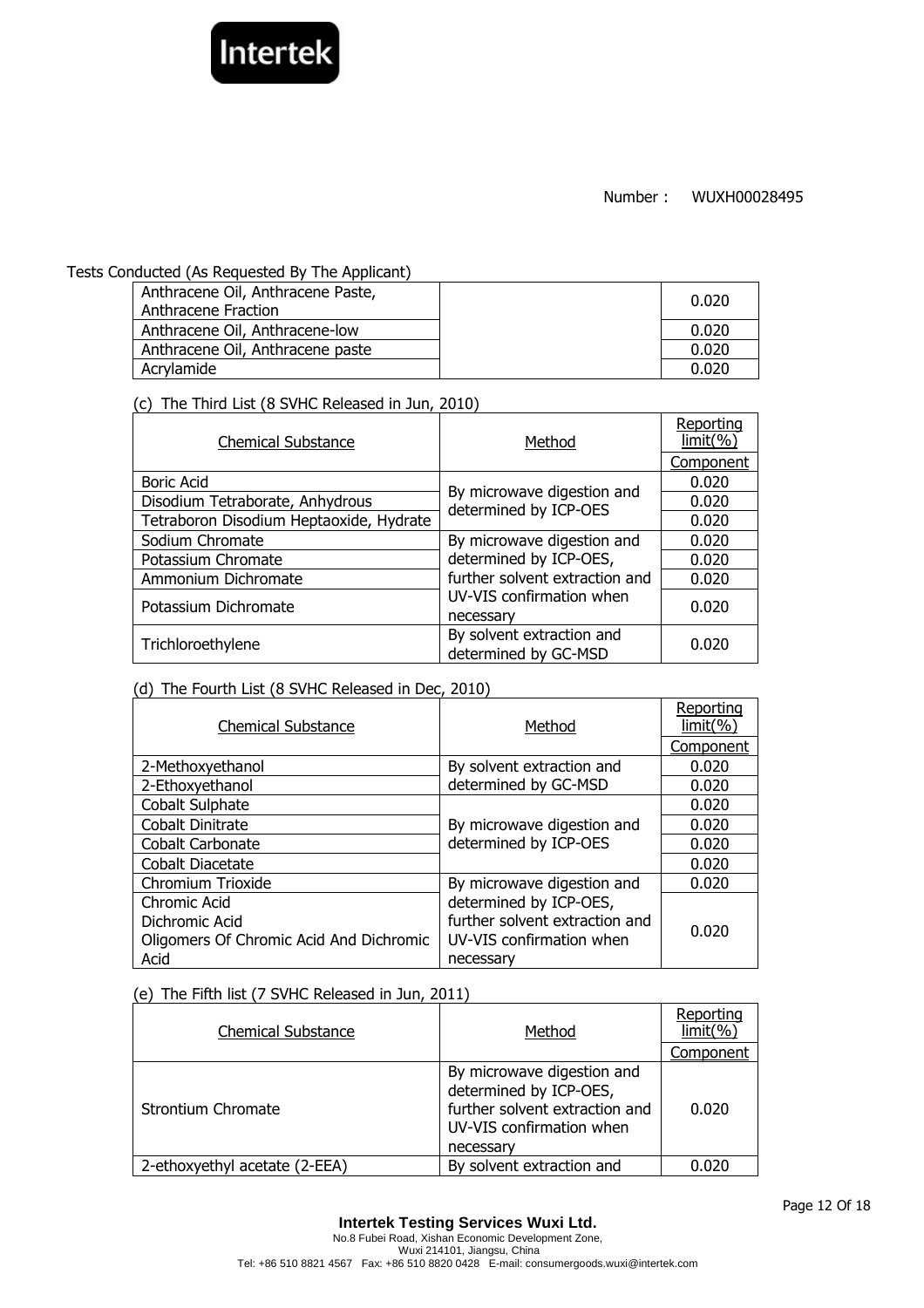

#### Tests Conducted (As Requested By The Applicant)

| Anthracene Oil, Anthracene Paste,<br>Anthracene Fraction | 0.020 |
|----------------------------------------------------------|-------|
| Anthracene Oil, Anthracene-low                           | 0.020 |
| Anthracene Oil, Anthracene paste                         | 0.020 |
| Acrylamide                                               | 0.020 |

(c) The Third List (8 SVHC Released in Jun, 2010)

| <b>Chemical Substance</b>               | Method                                              | Reporting<br>limit( %) |
|-----------------------------------------|-----------------------------------------------------|------------------------|
|                                         |                                                     | Component              |
| <b>Boric Acid</b>                       |                                                     | 0.020                  |
| Disodium Tetraborate, Anhydrous         | By microwave digestion and<br>determined by ICP-OES | 0.020                  |
| Tetraboron Disodium Heptaoxide, Hydrate |                                                     | 0.020                  |
| Sodium Chromate                         | By microwave digestion and                          | 0.020                  |
| Potassium Chromate                      | determined by ICP-OES,                              | 0.020                  |
| Ammonium Dichromate                     | further solvent extraction and                      | 0.020                  |
| Potassium Dichromate                    | UV-VIS confirmation when<br>necessary               | 0.020                  |
| Trichloroethylene                       | By solvent extraction and<br>determined by GC-MSD   | 0.020                  |

# (d) The Fourth List (8 SVHC Released in Dec, 2010)

| <b>Chemical Substance</b>               | Method                         | Reporting<br>limit( %) |
|-----------------------------------------|--------------------------------|------------------------|
|                                         |                                | Component              |
| 2-Methoxyethanol                        | By solvent extraction and      | 0.020                  |
| 2-Ethoxyethanol                         | determined by GC-MSD           | 0.020                  |
| Cobalt Sulphate                         |                                | 0.020                  |
| Cobalt Dinitrate                        | By microwave digestion and     | 0.020                  |
| Cobalt Carbonate                        | determined by ICP-OES          | 0.020                  |
| Cobalt Diacetate                        |                                | 0.020                  |
| Chromium Trioxide                       | By microwave digestion and     | 0.020                  |
| Chromic Acid                            | determined by ICP-OES,         |                        |
| Dichromic Acid                          | further solvent extraction and | 0.020                  |
| Oligomers Of Chromic Acid And Dichromic | UV-VIS confirmation when       |                        |
| Acid                                    | necessary                      |                        |

# (e) The Fifth list (7 SVHC Released in Jun, 2011)

| <b>Chemical Substance</b>     | Method                                                                                                                          | Reporting<br>limit(% |
|-------------------------------|---------------------------------------------------------------------------------------------------------------------------------|----------------------|
|                               |                                                                                                                                 | Component            |
| Strontium Chromate            | By microwave digestion and<br>determined by ICP-OES,<br>further solvent extraction and<br>UV-VIS confirmation when<br>necessary | 0.020                |
| 2-ethoxyethyl acetate (2-EEA) | By solvent extraction and                                                                                                       | 0.020                |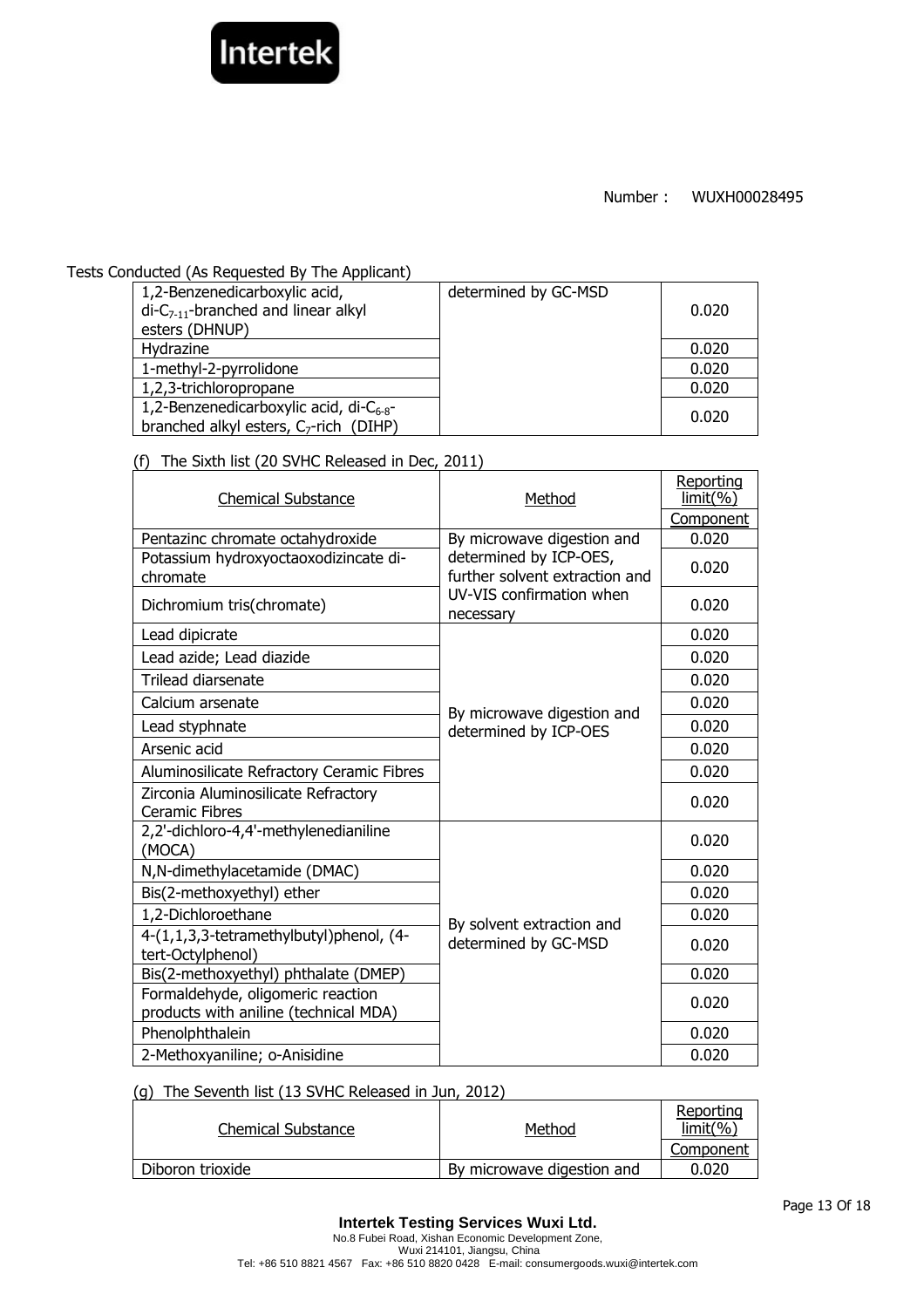

## Tests Conducted (As Requested By The Applicant)

| 1,2-Benzenedicarboxylic acid,<br>$di-C_{7-11}$ -branched and linear alkyl<br>esters (DHNUP)               | determined by GC-MSD | 0.020 |
|-----------------------------------------------------------------------------------------------------------|----------------------|-------|
| Hydrazine                                                                                                 |                      | 0.020 |
| 1-methyl-2-pyrrolidone                                                                                    |                      | 0.020 |
| 1,2,3-trichloropropane                                                                                    |                      | 0.020 |
| 1,2-Benzenedicarboxylic acid, di-C <sub>6-8</sub> -<br>branched alkyl esters, C <sub>7</sub> -rich (DIHP) |                      | 0.020 |

(f) The Sixth list (20 SVHC Released in Dec, 2011)

| THE DIAGHT HOL (20 JVTTC TRETCUSCUTT) DCC, 2011,                           |                                                          |                       |
|----------------------------------------------------------------------------|----------------------------------------------------------|-----------------------|
| <b>Chemical Substance</b>                                                  | Method                                                   | Reporting<br>limit(%) |
|                                                                            |                                                          | Component             |
| Pentazinc chromate octahydroxide                                           | By microwave digestion and                               | 0.020                 |
| Potassium hydroxyoctaoxodizincate di-<br>chromate                          | determined by ICP-OES,<br>further solvent extraction and | 0.020                 |
| Dichromium tris(chromate)                                                  | UV-VIS confirmation when<br>necessary                    | 0.020                 |
| Lead dipicrate                                                             |                                                          | 0.020                 |
| Lead azide; Lead diazide                                                   |                                                          | 0.020                 |
| Trilead diarsenate                                                         |                                                          | 0.020                 |
| Calcium arsenate                                                           |                                                          | 0.020                 |
| Lead styphnate                                                             | By microwave digestion and<br>determined by ICP-OES      | 0.020                 |
| Arsenic acid                                                               |                                                          | 0.020                 |
| Aluminosilicate Refractory Ceramic Fibres                                  |                                                          | 0.020                 |
| Zirconia Aluminosilicate Refractory<br><b>Ceramic Fibres</b>               |                                                          | 0.020                 |
| 2,2'-dichloro-4,4'-methylenedianiline<br>(MOCA)                            |                                                          | 0.020                 |
| N, N-dimethylacetamide (DMAC)                                              |                                                          | 0.020                 |
| Bis(2-methoxyethyl) ether                                                  |                                                          | 0.020                 |
| 1,2-Dichloroethane                                                         |                                                          | 0.020                 |
| 4-(1,1,3,3-tetramethylbutyl)phenol, (4-<br>tert-Octylphenol)               | By solvent extraction and<br>determined by GC-MSD        | 0.020                 |
| Bis(2-methoxyethyl) phthalate (DMEP)                                       |                                                          | 0.020                 |
| Formaldehyde, oligomeric reaction<br>products with aniline (technical MDA) |                                                          | 0.020                 |
| Phenolphthalein                                                            |                                                          | 0.020                 |
| 2-Methoxyaniline; o-Anisidine                                              |                                                          | 0.020                 |

#### (g) The Seventh list (13 SVHC Released in Jun, 2012)

| Chemical Substance | Method                     | Reporting<br>$limit(\% )$ |
|--------------------|----------------------------|---------------------------|
|                    |                            | Component                 |
| Diboron trioxide   | By microwave digestion and | 0.020                     |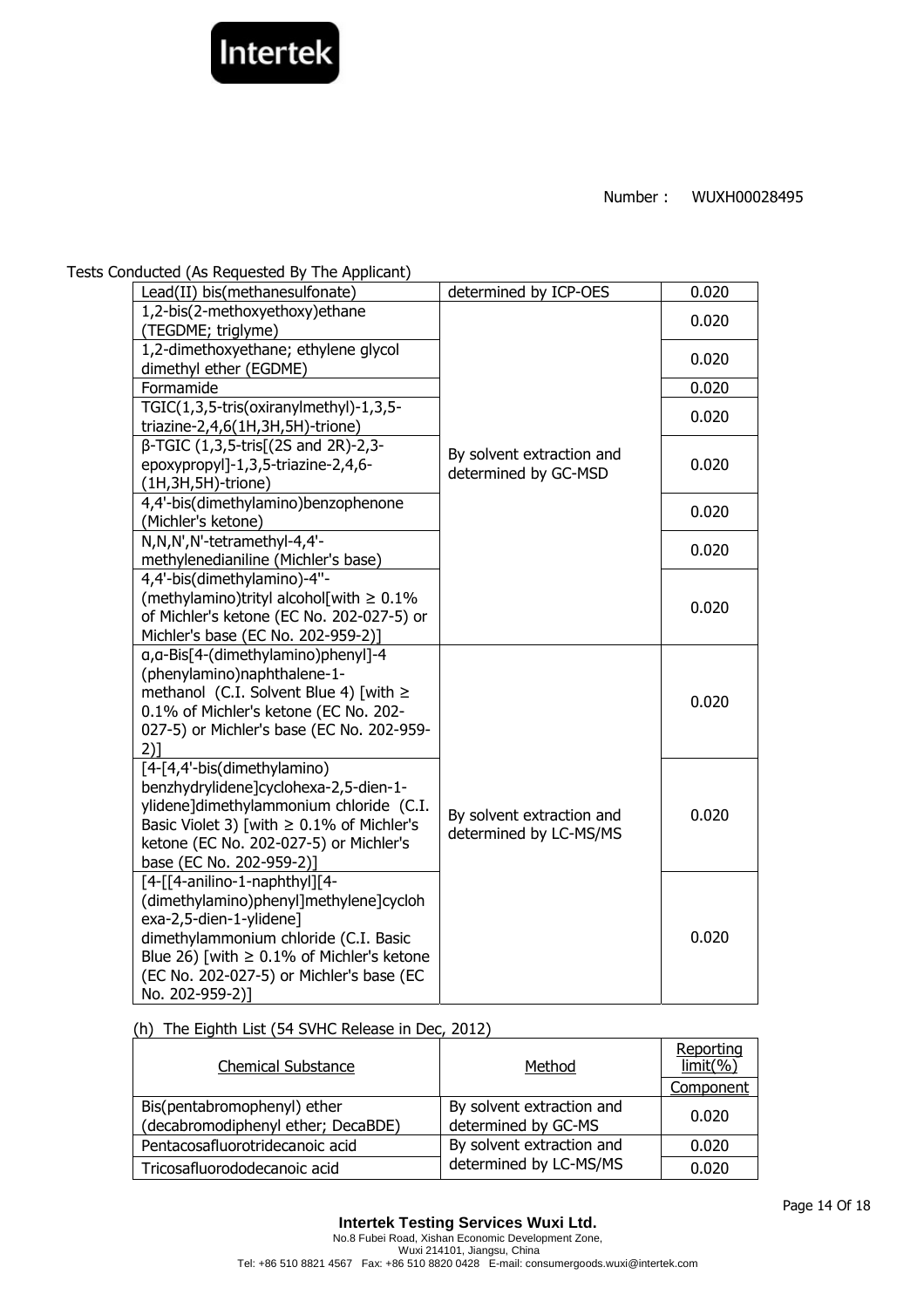

Tests Conducted (As Requested By The Applicant)

| Lead(II) bis(methanesulfonate)                  | determined by ICP-OES     | 0.020 |
|-------------------------------------------------|---------------------------|-------|
| 1,2-bis(2-methoxyethoxy)ethane                  |                           | 0.020 |
| (TEGDME; triglyme)                              |                           |       |
| 1,2-dimethoxyethane; ethylene glycol            |                           | 0.020 |
| dimethyl ether (EGDME)                          |                           |       |
| Formamide                                       |                           | 0.020 |
| TGIC(1,3,5-tris(oxiranylmethyl)-1,3,5-          |                           | 0.020 |
| triazine-2,4,6(1H,3H,5H)-trione)                |                           |       |
| $β$ -TGIC (1,3,5-tris[(2S and 2R)-2,3-          | By solvent extraction and |       |
| epoxypropyl]-1,3,5-triazine-2,4,6-              | determined by GC-MSD      | 0.020 |
| $(1H, 3H, 5H)$ -trione)                         |                           |       |
| 4,4'-bis(dimethylamino)benzophenone             |                           | 0.020 |
| (Michler's ketone)                              |                           |       |
| N,N,N',N'-tetramethyl-4,4'-                     |                           | 0.020 |
| methylenedianiline (Michler's base)             |                           |       |
| 4,4'-bis(dimethylamino)-4"-                     |                           |       |
| (methylamino)trityl alcohol[with $\geq 0.1\%$   |                           | 0.020 |
| of Michler's ketone (EC No. 202-027-5) or       |                           |       |
| Michler's base (EC No. 202-959-2)]              |                           |       |
| q, a-Bis[4-(dimethylamino)phenyl]-4             |                           |       |
| (phenylamino)naphthalene-1-                     |                           |       |
| methanol (C.I. Solvent Blue 4) [with $\ge$      |                           | 0.020 |
| 0.1% of Michler's ketone (EC No. 202-           |                           |       |
| 027-5) or Michler's base (EC No. 202-959-       |                           |       |
| 2)1                                             |                           |       |
| [4-[4,4'-bis(dimethylamino)                     |                           |       |
| benzhydrylidene]cyclohexa-2,5-dien-1-           |                           |       |
| ylidene]dimethylammonium chloride (C.I.         | By solvent extraction and | 0.020 |
| Basic Violet 3) [with $\geq$ 0.1% of Michler's  | determined by LC-MS/MS    |       |
| ketone (EC No. 202-027-5) or Michler's          |                           |       |
| base (EC No. 202-959-2)]                        |                           |       |
| [4-[[4-anilino-1-naphthyl][4-                   |                           |       |
| (dimethylamino)phenyl]methylene]cycloh          |                           |       |
| exa-2,5-dien-1-ylidene]                         |                           |       |
| dimethylammonium chloride (C.I. Basic           |                           | 0.020 |
| Blue 26) [with $\geq 0.1\%$ of Michler's ketone |                           |       |
| (EC No. 202-027-5) or Michler's base (EC        |                           |       |
| No. 202-959-2)]                                 |                           |       |

(h) The Eighth List (54 SVHC Release in Dec, 2012)

| <b>Chemical Substance</b>                                         | Method                                           | Reporting<br>$limit(\% )$ |
|-------------------------------------------------------------------|--------------------------------------------------|---------------------------|
|                                                                   |                                                  | Component                 |
| Bis(pentabromophenyl) ether<br>(decabromodiphenyl ether; DecaBDE) | By solvent extraction and<br>determined by GC-MS | 0.020                     |
| Pentacosafluorotridecanoic acid                                   | By solvent extraction and                        | 0.020                     |
| Tricosafluorododecanoic acid                                      | determined by LC-MS/MS                           | 0.020                     |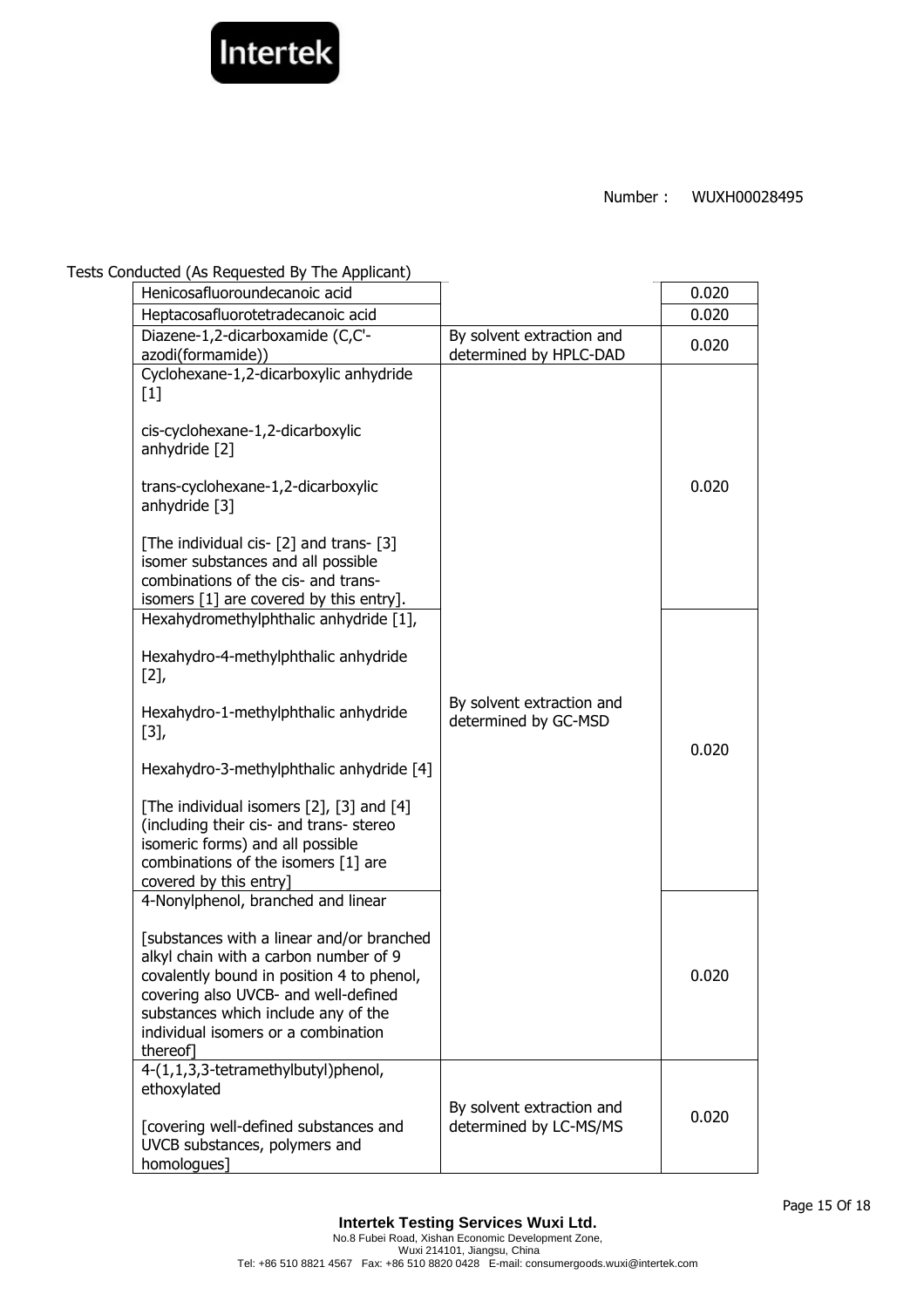

# Tests Conducted (As Requested By The Applicant)

| Henicosafluoroundecanoic acid                                                                                                                                                                                                                                                                                                                                                   |                                                     | 0.020 |
|---------------------------------------------------------------------------------------------------------------------------------------------------------------------------------------------------------------------------------------------------------------------------------------------------------------------------------------------------------------------------------|-----------------------------------------------------|-------|
| Heptacosafluorotetradecanoic acid                                                                                                                                                                                                                                                                                                                                               |                                                     | 0.020 |
| Diazene-1,2-dicarboxamide (C,C'-<br>azodi(formamide))                                                                                                                                                                                                                                                                                                                           | By solvent extraction and<br>determined by HPLC-DAD | 0.020 |
| Cyclohexane-1,2-dicarboxylic anhydride<br>$[1]$<br>cis-cyclohexane-1,2-dicarboxylic<br>anhydride [2]<br>trans-cyclohexane-1,2-dicarboxylic<br>anhydride [3]<br>[The individual cis- [2] and trans- [3]<br>isomer substances and all possible<br>combinations of the cis- and trans-<br>isomers [1] are covered by this entry].                                                  |                                                     | 0.020 |
| Hexahydromethylphthalic anhydride [1],<br>Hexahydro-4-methylphthalic anhydride<br>[2]<br>Hexahydro-1-methylphthalic anhydride<br>$[3],$<br>Hexahydro-3-methylphthalic anhydride [4]<br>[The individual isomers [2], [3] and [4]<br>(including their cis- and trans- stereo<br>isomeric forms) and all possible<br>combinations of the isomers [1] are<br>covered by this entry] | By solvent extraction and<br>determined by GC-MSD   | 0.020 |
| 4-Nonylphenol, branched and linear<br>[substances with a linear and/or branched<br>alkyl chain with a carbon number of 9<br>covalently bound in position 4 to phenol,<br>covering also UVCB- and well-defined<br>substances which include any of the<br>individual isomers or a combination<br>thereof]                                                                         |                                                     | 0.020 |
| 4-(1,1,3,3-tetramethylbutyl)phenol,<br>ethoxylated<br>[covering well-defined substances and<br>UVCB substances, polymers and<br>homologues]                                                                                                                                                                                                                                     | By solvent extraction and<br>determined by LC-MS/MS | 0.020 |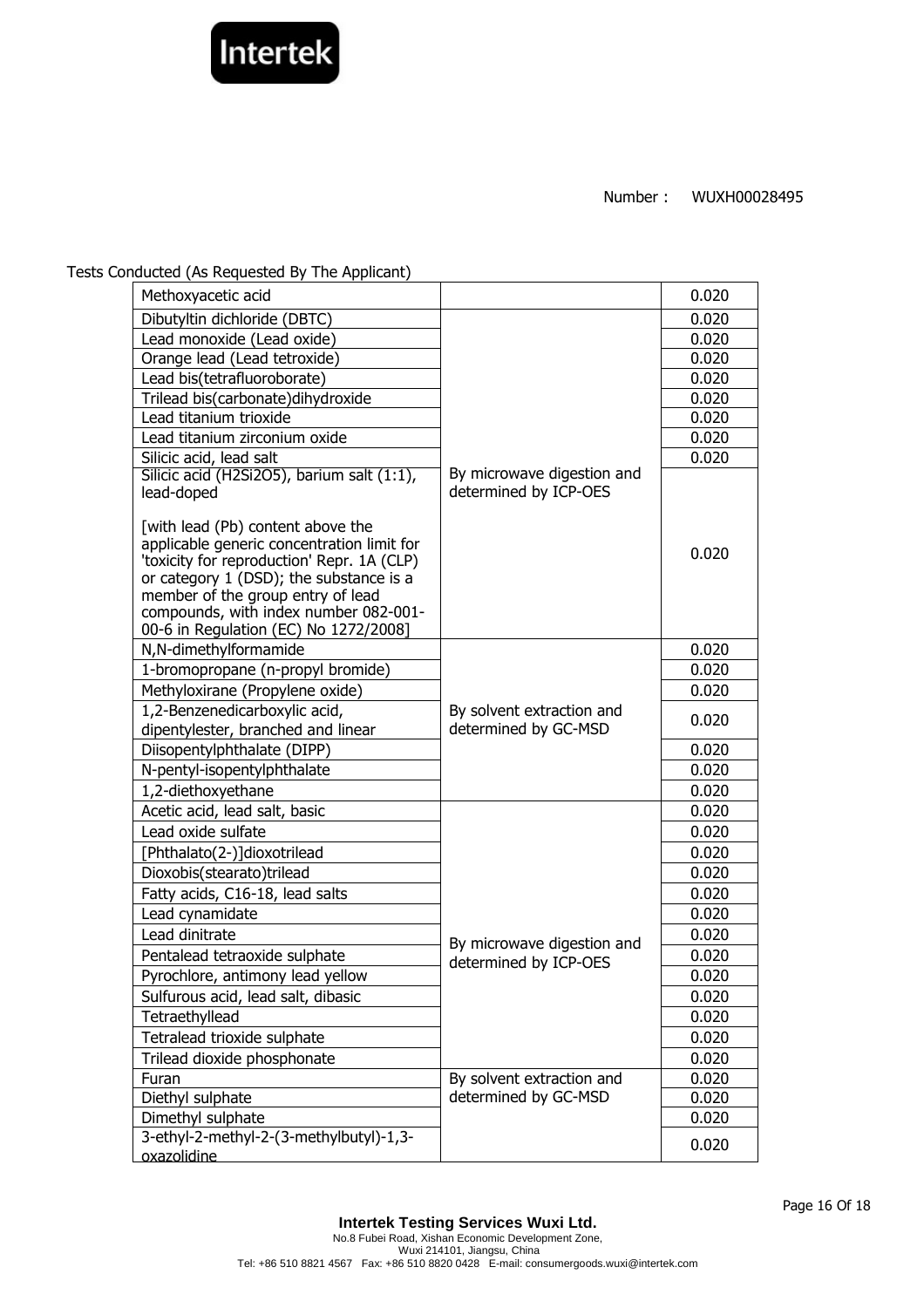

Tests Conducted (As Requested By The Applicant)

| Methoxyacetic acid                                                                                                                                                                                                                                                                              |                                                     | 0.020 |
|-------------------------------------------------------------------------------------------------------------------------------------------------------------------------------------------------------------------------------------------------------------------------------------------------|-----------------------------------------------------|-------|
| Dibutyltin dichloride (DBTC)                                                                                                                                                                                                                                                                    |                                                     | 0.020 |
| Lead monoxide (Lead oxide)                                                                                                                                                                                                                                                                      |                                                     | 0.020 |
| Orange lead (Lead tetroxide)                                                                                                                                                                                                                                                                    |                                                     | 0.020 |
| Lead bis(tetrafluoroborate)                                                                                                                                                                                                                                                                     |                                                     | 0.020 |
| Trilead bis(carbonate)dihydroxide                                                                                                                                                                                                                                                               |                                                     | 0.020 |
| Lead titanium trioxide                                                                                                                                                                                                                                                                          |                                                     | 0.020 |
| Lead titanium zirconium oxide                                                                                                                                                                                                                                                                   |                                                     | 0.020 |
| Silicic acid, lead salt                                                                                                                                                                                                                                                                         |                                                     | 0.020 |
| Silicic acid (H2Si2O5), barium salt (1:1),<br>lead-doped                                                                                                                                                                                                                                        | By microwave digestion and<br>determined by ICP-OES |       |
| [with lead (Pb) content above the<br>applicable generic concentration limit for<br>'toxicity for reproduction' Repr. 1A (CLP)<br>or category 1 (DSD); the substance is a<br>member of the group entry of lead<br>compounds, with index number 082-001-<br>00-6 in Regulation (EC) No 1272/2008] |                                                     | 0.020 |
| N,N-dimethylformamide                                                                                                                                                                                                                                                                           |                                                     | 0.020 |
| 1-bromopropane (n-propyl bromide)                                                                                                                                                                                                                                                               |                                                     | 0.020 |
| Methyloxirane (Propylene oxide)                                                                                                                                                                                                                                                                 |                                                     | 0.020 |
| 1,2-Benzenedicarboxylic acid,<br>dipentylester, branched and linear                                                                                                                                                                                                                             | By solvent extraction and<br>determined by GC-MSD   | 0.020 |
| Diisopentylphthalate (DIPP)                                                                                                                                                                                                                                                                     |                                                     | 0.020 |
| N-pentyl-isopentylphthalate                                                                                                                                                                                                                                                                     |                                                     | 0.020 |
| 1,2-diethoxyethane                                                                                                                                                                                                                                                                              |                                                     | 0.020 |
| Acetic acid, lead salt, basic                                                                                                                                                                                                                                                                   |                                                     | 0.020 |
| Lead oxide sulfate                                                                                                                                                                                                                                                                              |                                                     | 0.020 |
| [Phthalato(2-)]dioxotrilead                                                                                                                                                                                                                                                                     |                                                     | 0.020 |
| Dioxobis(stearato)trilead                                                                                                                                                                                                                                                                       |                                                     | 0.020 |
| Fatty acids, C16-18, lead salts                                                                                                                                                                                                                                                                 |                                                     | 0.020 |
| Lead cynamidate                                                                                                                                                                                                                                                                                 |                                                     | 0.020 |
| Lead dinitrate                                                                                                                                                                                                                                                                                  | By microwave digestion and                          | 0.020 |
| Pentalead tetraoxide sulphate                                                                                                                                                                                                                                                                   | determined by ICP-OES                               | 0.020 |
| Pyrochlore, antimony lead yellow                                                                                                                                                                                                                                                                |                                                     | 0.020 |
| Sulfurous acid, lead salt, dibasic                                                                                                                                                                                                                                                              |                                                     | 0.020 |
| Tetraethyllead                                                                                                                                                                                                                                                                                  |                                                     | 0.020 |
| Tetralead trioxide sulphate                                                                                                                                                                                                                                                                     |                                                     | 0.020 |
| Trilead dioxide phosphonate                                                                                                                                                                                                                                                                     |                                                     | 0.020 |
| Furan                                                                                                                                                                                                                                                                                           | By solvent extraction and                           | 0.020 |
| Diethyl sulphate                                                                                                                                                                                                                                                                                | determined by GC-MSD                                | 0.020 |
| Dimethyl sulphate                                                                                                                                                                                                                                                                               |                                                     | 0.020 |
| 3-ethyl-2-methyl-2-(3-methylbutyl)-1,3-                                                                                                                                                                                                                                                         |                                                     | 0.020 |
| oxazolidine                                                                                                                                                                                                                                                                                     |                                                     |       |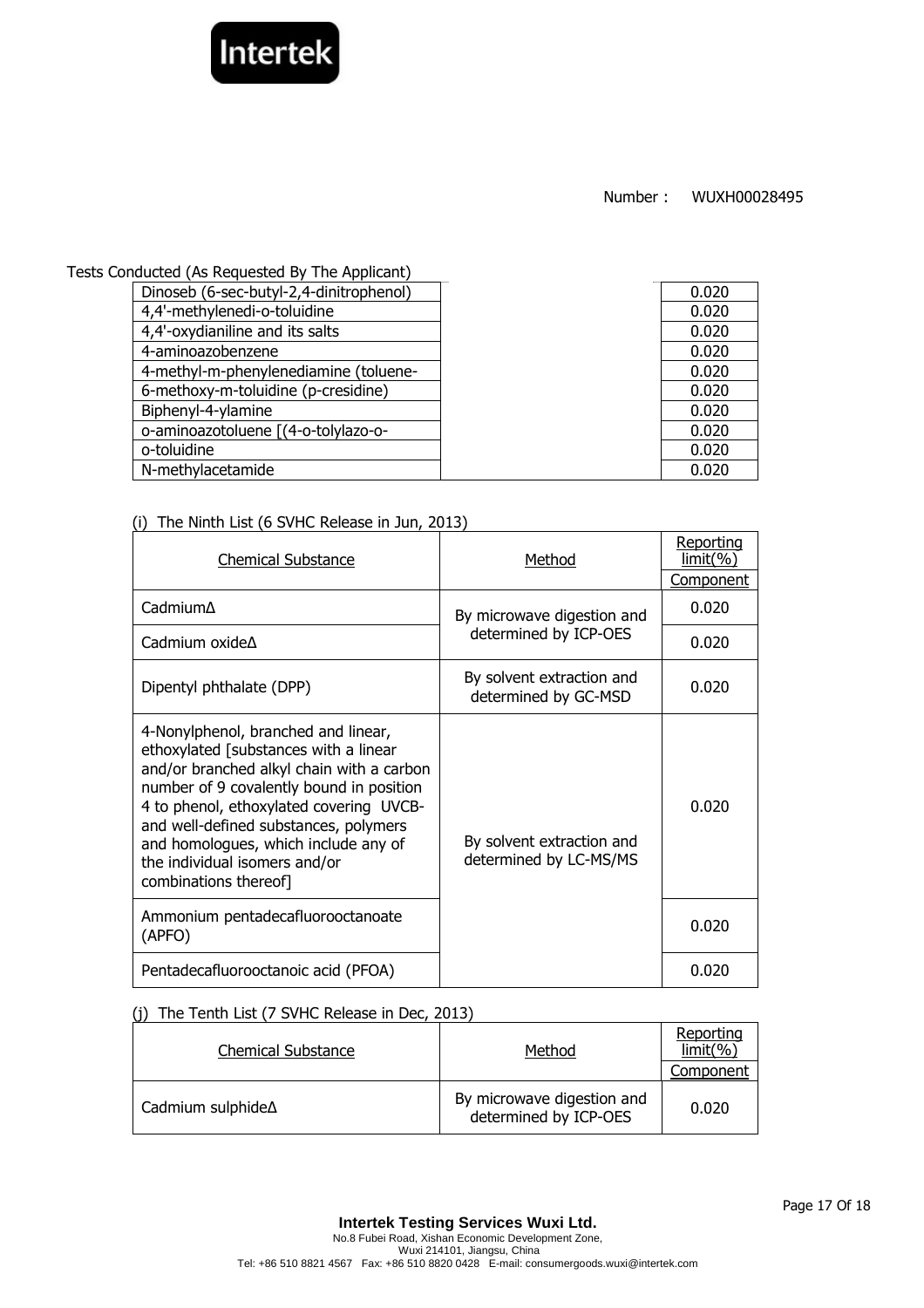

Tests Conducted (As Requested By The Applicant)

| Dinoseb (6-sec-butyl-2,4-dinitrophenol) | 0.020 |
|-----------------------------------------|-------|
| 4,4'-methylenedi-o-toluidine            | 0.020 |
| 4,4'-oxydianiline and its salts         | 0.020 |
| 4-aminoazobenzene                       | 0.020 |
| 4-methyl-m-phenylenediamine (toluene-   | 0.020 |
| 6-methoxy-m-toluidine (p-cresidine)     | 0.020 |
| Biphenyl-4-ylamine                      | 0.020 |
| o-aminoazotoluene [(4-o-tolylazo-o-     | 0.020 |
| o-toluidine                             | 0.020 |
| N-methylacetamide                       | 0.020 |
|                                         |       |

# (i) The Ninth List (6 SVHC Release in Jun, 2013)

| <b>Chemical Substance</b>                                                                                                                                                                                                                                                                                                                                   | Method                                              | Reporting<br><u>limit(%)</u> |
|-------------------------------------------------------------------------------------------------------------------------------------------------------------------------------------------------------------------------------------------------------------------------------------------------------------------------------------------------------------|-----------------------------------------------------|------------------------------|
|                                                                                                                                                                                                                                                                                                                                                             |                                                     | <b>Component</b>             |
| Cadmium∆                                                                                                                                                                                                                                                                                                                                                    | By microwave digestion and                          | 0.020                        |
| Cadmium oxide $\Delta$                                                                                                                                                                                                                                                                                                                                      | determined by ICP-OES                               | 0.020                        |
| Dipentyl phthalate (DPP)                                                                                                                                                                                                                                                                                                                                    | By solvent extraction and<br>determined by GC-MSD   | 0.020                        |
| 4-Nonylphenol, branched and linear,<br>ethoxylated [substances with a linear<br>and/or branched alkyl chain with a carbon<br>number of 9 covalently bound in position<br>4 to phenol, ethoxylated covering UVCB-<br>and well-defined substances, polymers<br>and homologues, which include any of<br>the individual isomers and/or<br>combinations thereof] | By solvent extraction and<br>determined by LC-MS/MS | 0.020                        |
| Ammonium pentadecafluorooctanoate<br>(APFO)                                                                                                                                                                                                                                                                                                                 |                                                     | 0.020                        |
| Pentadecafluorooctanoic acid (PFOA)                                                                                                                                                                                                                                                                                                                         |                                                     | 0.020                        |

# (j) The Tenth List (7 SVHC Release in Dec, 2013)

| <b>Chemical Substance</b> | Method                                              | Reporting<br>limit(%) |
|---------------------------|-----------------------------------------------------|-----------------------|
|                           |                                                     | Component             |
| Cadmium sulphide $\Delta$ | By microwave digestion and<br>determined by ICP-OES | 0.020                 |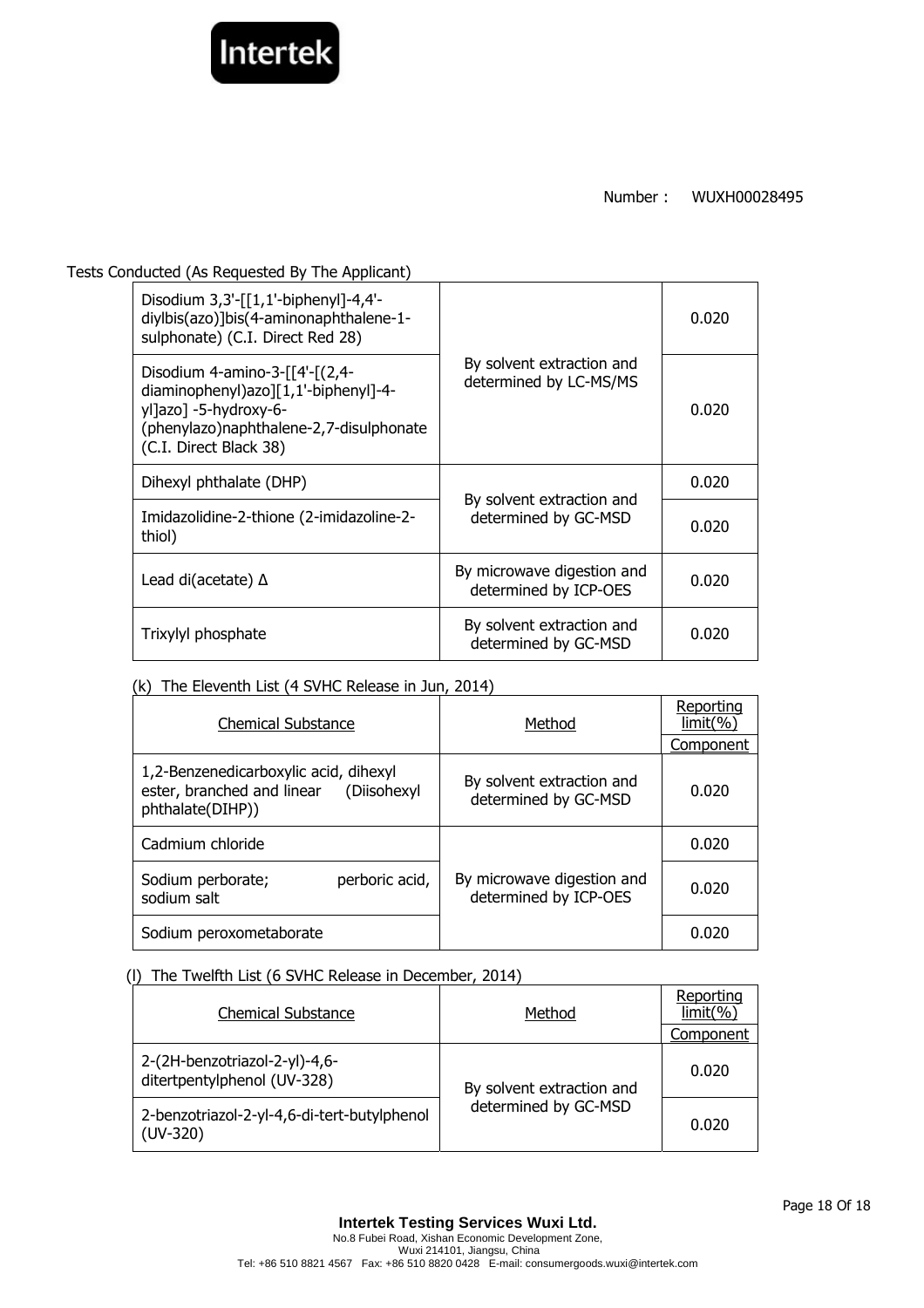

Tests Conducted (As Requested By The Applicant)

| Disodium $3,3'$ -[[1,1'-biphenyl]-4,4'-<br>diylbis(azo)]bis(4-aminonaphthalene-1-<br>sulphonate) (C.I. Direct Red 28)                                                  | By solvent extraction and<br>determined by LC-MS/MS | 0.020 |
|------------------------------------------------------------------------------------------------------------------------------------------------------------------------|-----------------------------------------------------|-------|
| Disodium 4-amino-3- $[4-(2,4-$<br>diaminophenyl)azo][1,1'-biphenyl]-4-<br>yl]azo] -5-hydroxy-6-<br>(phenylazo) naphthalene-2, 7-disulphonate<br>(C.I. Direct Black 38) |                                                     | 0.020 |
| Dihexyl phthalate (DHP)                                                                                                                                                | By solvent extraction and<br>determined by GC-MSD   | 0.020 |
| Imidazolidine-2-thione (2-imidazoline-2-<br>thiol)                                                                                                                     |                                                     | 0.020 |
| Lead di(acetate) $\Delta$                                                                                                                                              | By microwave digestion and<br>determined by ICP-OES | 0.020 |
| Trixylyl phosphate                                                                                                                                                     | By solvent extraction and<br>determined by GC-MSD   | 0.020 |

## (k) The Eleventh List (4 SVHC Release in Jun, 2014)

| <b>Chemical Substance</b>                                                                           | Method                                              | Reporting<br>$limit(\% )$ |
|-----------------------------------------------------------------------------------------------------|-----------------------------------------------------|---------------------------|
|                                                                                                     |                                                     | Component                 |
| 1,2-Benzenedicarboxylic acid, dihexyl<br>ester, branched and linear (Diisohexyl<br>phthalate(DIHP)) | By solvent extraction and<br>determined by GC-MSD   | 0.020                     |
| Cadmium chloride                                                                                    |                                                     | 0.020                     |
| perboric acid,<br>Sodium perborate;<br>sodium salt                                                  | By microwave digestion and<br>determined by ICP-OES | 0.020                     |
| Sodium peroxometaborate                                                                             |                                                     | 0.020                     |

## (l) The Twelfth List (6 SVHC Release in December, 2014)

| <b>Chemical Substance</b>                                    | Method                                            | Reporting<br>limit(%) |
|--------------------------------------------------------------|---------------------------------------------------|-----------------------|
|                                                              |                                                   | Component             |
| 2-(2H-benzotriazol-2-yl)-4,6-<br>ditertpentylphenol (UV-328) | By solvent extraction and<br>determined by GC-MSD | 0.020                 |
| 2-benzotriazol-2-yl-4,6-di-tert-butylphenol<br>$(UV-320)$    |                                                   | 0.020                 |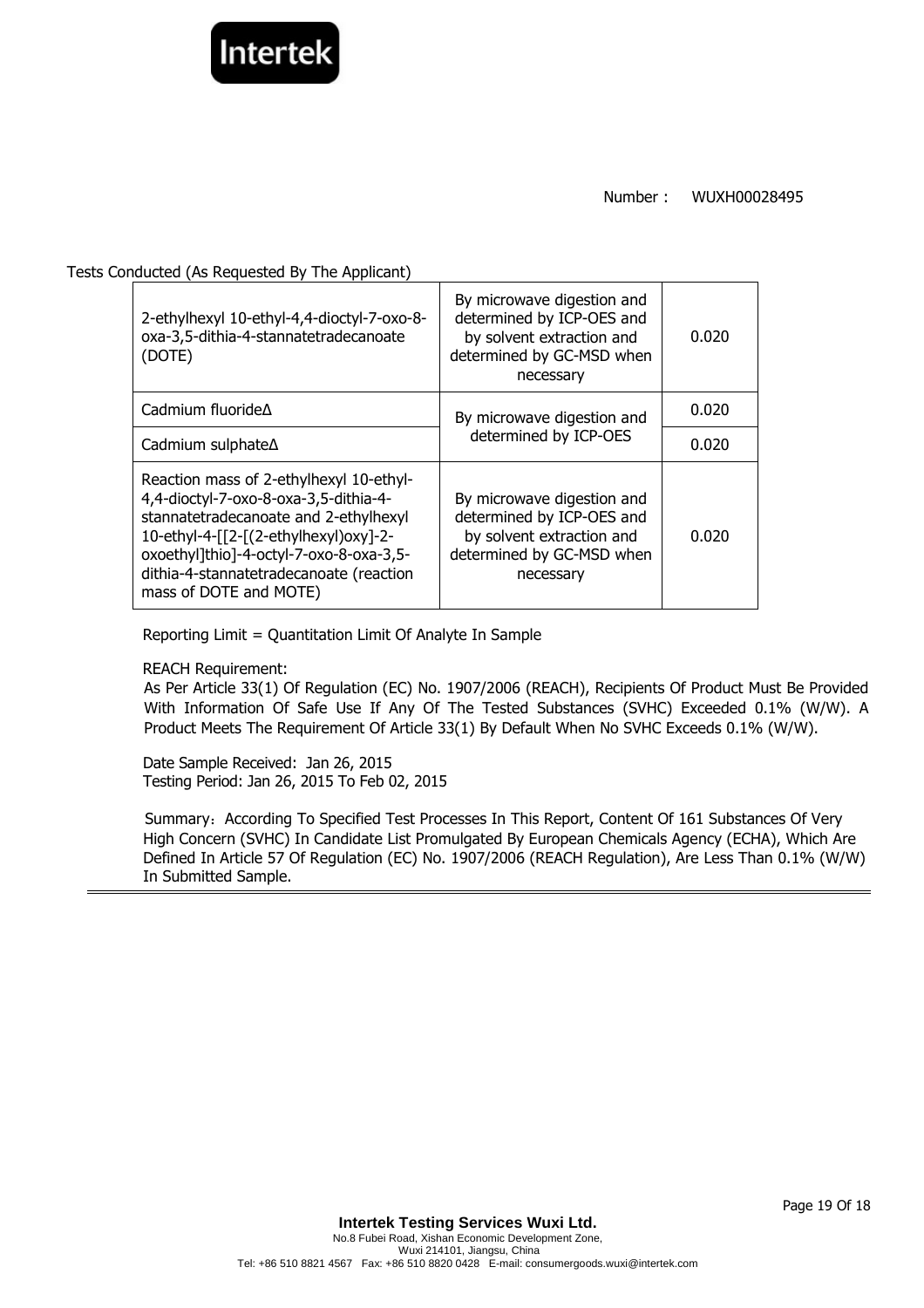

#### Tests Conducted (As Requested By The Applicant)

| 2-ethylhexyl 10-ethyl-4,4-dioctyl-7-oxo-8-<br>oxa-3,5-dithia-4-stannatetradecanoate<br>(DOTE)                                                                                                                                                                                      | By microwave digestion and<br>determined by ICP-OES and<br>by solvent extraction and<br>determined by GC-MSD when<br>necessary | 0.020 |
|------------------------------------------------------------------------------------------------------------------------------------------------------------------------------------------------------------------------------------------------------------------------------------|--------------------------------------------------------------------------------------------------------------------------------|-------|
| Cadmium fluoride $\Delta$                                                                                                                                                                                                                                                          | By microwave digestion and<br>determined by ICP-OES                                                                            | 0.020 |
| Cadmium sulphate∆                                                                                                                                                                                                                                                                  |                                                                                                                                | 0.020 |
| Reaction mass of 2-ethylhexyl 10-ethyl-<br>4,4-dioctyl-7-oxo-8-oxa-3,5-dithia-4-<br>stannatetradecanoate and 2-ethylhexyl<br>10-ethyl-4-[[2-[(2-ethylhexyl)oxy]-2-<br>oxoethyl]thio]-4-octyl-7-oxo-8-oxa-3,5-<br>dithia-4-stannatetradecanoate (reaction<br>mass of DOTE and MOTE) | By microwave digestion and<br>determined by ICP-OES and<br>by solvent extraction and<br>determined by GC-MSD when<br>necessary | 0.020 |

Reporting Limit = Quantitation Limit Of Analyte In Sample

REACH Requirement:

As Per Article 33(1) Of Regulation (EC) No. 1907/2006 (REACH), Recipients Of Product Must Be Provided With Information Of Safe Use If Any Of The Tested Substances (SVHC) Exceeded 0.1% (W/W). A Product Meets The Requirement Of Article 33(1) By Default When No SVHC Exceeds 0.1% (W/W).

Date Sample Received: Jan 26, 2015 Testing Period: Jan 26, 2015 To Feb 02, 2015

Summary: According To Specified Test Processes In This Report, Content Of 161 Substances Of Very High Concern (SVHC) In Candidate List Promulgated By European Chemicals Agency (ECHA), Which Are Defined In Article 57 Of Regulation (EC) No. 1907/2006 (REACH Regulation), Are Less Than 0.1% (W/W) In Submitted Sample.